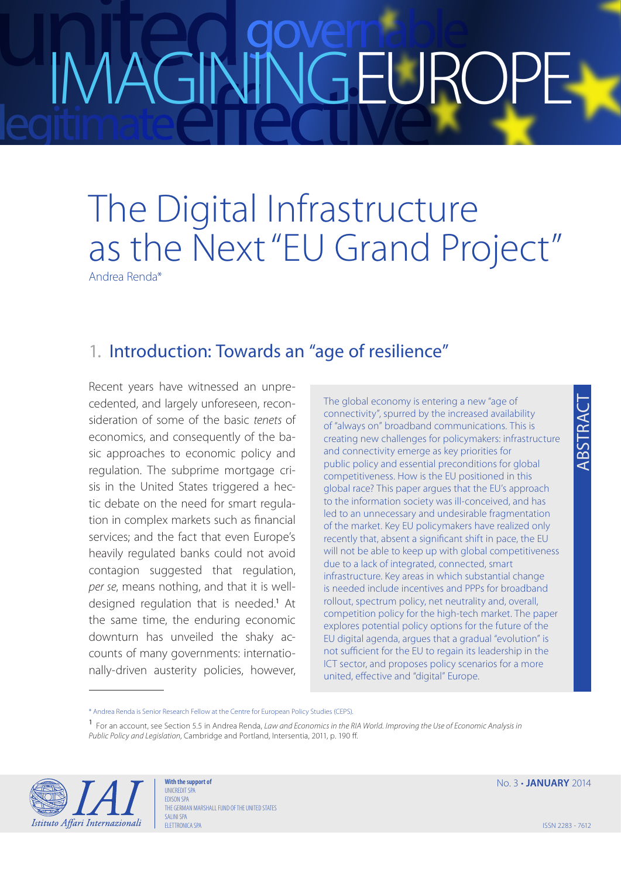# IMAGININGEURO

### The Digital Infrastructure as the Next "EU Grand Project"

Andrea Renda\*

### 1. Introduction: Towards an "age of resilience"

Recent years have witnessed an unprecedented, and largely unforeseen, reconsideration of some of the basic *tenets* of economics, and consequently of the basic approaches to economic policy and regulation. The subprime mortgage crisis in the United States triggered a hectic debate on the need for smart regulation in complex markets such as financial services; and the fact that even Europe's heavily regulated banks could not avoid contagion suggested that regulation, *per se*, means nothing, and that it is welldesigned regulation that is needed.<sup>1</sup> At the same time, the enduring economic downturn has unveiled the shaky accounts of many governments: internationally-driven austerity policies, however,

The global economy is entering a new "age of connectivity", spurred by the increased availability of "always on" broadband communications. This is creating new challenges for policymakers: infrastructure and connectivity emerge as key priorities for public policy and essential preconditions for global competitiveness. How is the EU positioned in this global race? This paper argues that the EU's approach to the information society was ill-conceived, and has led to an unnecessary and undesirable fragmentation of the market. Key EU policymakers have realized only recently that, absent a significant shift in pace, the EU will not be able to keep up with global competitiveness due to a lack of integrated, connected, smart infrastructure. Key areas in which substantial change is needed include incentives and PPPs for broadband rollout, spectrum policy, net neutrality and, overall, competition policy for the high-tech market. The paper explores potential policy options for the future of the EU digital agenda, argues that a gradual "evolution" is not sufficient for the EU to regain its leadership in the ICT sector, and proposes policy scenarios for a more united, effective and "digital" Europe.

<sup>1</sup> For an account, see Section 5.5 in Andrea Renda, *Law and Economics in the RIA World. Improving the Use of Economic Analysis in Public Policy and Legislation*, Cambridge and Portland, Intersentia, 2011, p. 190 ff.



**With the support of UNICREDIT SPA** EDISON SPA THE GERMAN MARSHALL FUND OF THE UNITED STATES SALINI SPA ELETTRONICA SPA

No. 3 • **JANUARY** 2014

<sup>\*</sup> Andrea Renda is Senior Research Fellow at the Centre for European Policy Studies (CEPS).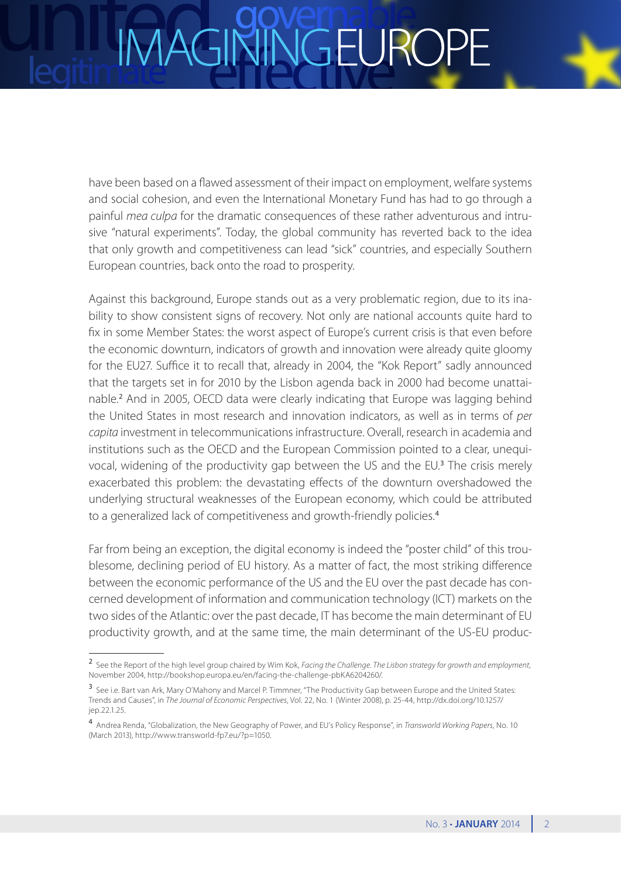## **IGEUR**

have been based on a flawed assessment of their impact on employment, welfare systems and social cohesion, and even the International Monetary Fund has had to go through a painful *mea culpa* for the dramatic consequences of these rather adventurous and intrusive "natural experiments". Today, the global community has reverted back to the idea that only growth and competitiveness can lead "sick" countries, and especially Southern European countries, back onto the road to prosperity.

Against this background, Europe stands out as a very problematic region, due to its inability to show consistent signs of recovery. Not only are national accounts quite hard to fix in some Member States: the worst aspect of Europe's current crisis is that even before the economic downturn, indicators of growth and innovation were already quite gloomy for the EU27. Suffice it to recall that, already in 2004, the "Kok Report" sadly announced that the targets set in for 2010 by the Lisbon agenda back in 2000 had become unattainable.<sup>2</sup> And in 2005, OECD data were clearly indicating that Europe was lagging behind the United States in most research and innovation indicators, as well as in terms of *per capita* investment in telecommunications infrastructure. Overall, research in academia and institutions such as the OECD and the European Commission pointed to a clear, unequivocal, widening of the productivity gap between the US and the EU.<sup>3</sup> The crisis merely exacerbated this problem: the devastating effects of the downturn overshadowed the underlying structural weaknesses of the European economy, which could be attributed to a generalized lack of competitiveness and growth-friendly policies.<sup>4</sup>

Far from being an exception, the digital economy is indeed the "poster child" of this troublesome, declining period of EU history. As a matter of fact, the most striking difference between the economic performance of the US and the EU over the past decade has concerned development of information and communication technology (ICT) markets on the two sides of the Atlantic: over the past decade, IT has become the main determinant of EU productivity growth, and at the same time, the main determinant of the US-EU produc-

<sup>2</sup> See the Report of the high level group chaired by Wim Kok, *Facing the Challenge. The Lisbon strategy for growth and employment*, November 2004, [http://bookshop.europa.eu/en/facing-the-challenge-pbKA6204260/.](http://bookshop.europa.eu/en/facing-the-challenge-pbKA6204260/)

<sup>3</sup> See i.e. Bart van Ark, Mary O'Mahony and Marcel P. Timmner, "The Productivity Gap between Europe and the United States: Trends and Causes", in *The Journal of Economic Perspectives*, Vol. 22, No. 1 (Winter 2008), p. 25-44, [http://dx.doi.org/10.1257/](http://dx.doi.org/10.1257/jep.22.1.25) [jep.22.1.25](http://dx.doi.org/10.1257/jep.22.1.25).

<sup>4</sup> Andrea Renda, "Globalization, the New Geography of Power, and EU's Policy Response", in *Transworld Working Papers*, No. 10 (March 2013), [http://www.transworld-fp7.eu/?p=1050.](http://www.transworld-fp7.eu/?p=1050)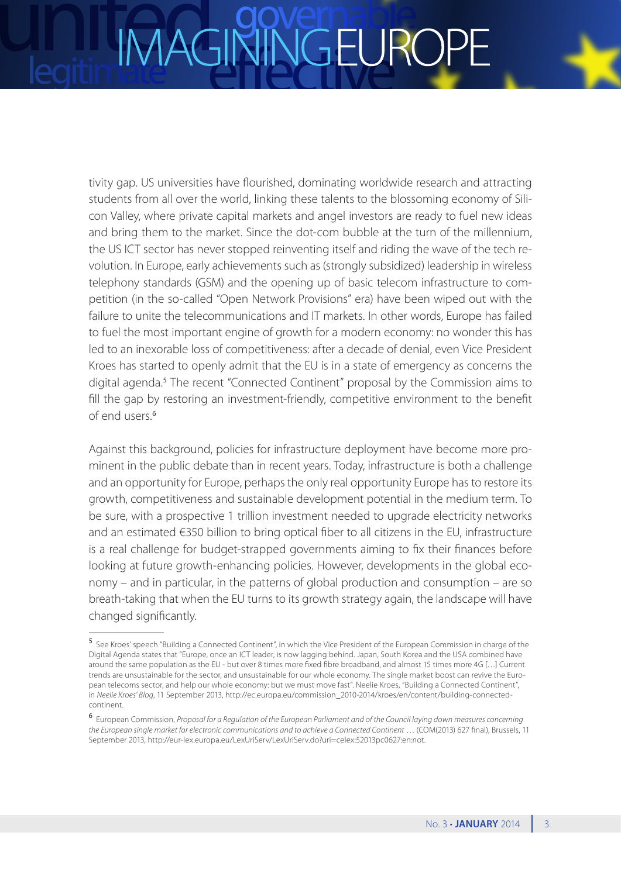tivity gap. US universities have flourished, dominating worldwide research and attracting students from all over the world, linking these talents to the blossoming economy of Silicon Valley, where private capital markets and angel investors are ready to fuel new ideas and bring them to the market. Since the dot-com bubble at the turn of the millennium, the US ICT sector has never stopped reinventing itself and riding the wave of the tech revolution. In Europe, early achievements such as (strongly subsidized) leadership in wireless telephony standards (GSM) and the opening up of basic telecom infrastructure to competition (in the so-called "Open Network Provisions" era) have been wiped out with the failure to unite the telecommunications and IT markets. In other words, Europe has failed to fuel the most important engine of growth for a modern economy: no wonder this has led to an inexorable loss of competitiveness: after a decade of denial, even Vice President Kroes has started to openly admit that the EU is in a state of emergency as concerns the digital agenda.<sup>5</sup> The recent "Connected Continent" proposal by the Commission aims to fill the gap by restoring an investment-friendly, competitive environment to the benefit of end users.<sup>6</sup>

Against this background, policies for infrastructure deployment have become more prominent in the public debate than in recent years. Today, infrastructure is both a challenge and an opportunity for Europe, perhaps the only real opportunity Europe has to restore its growth, competitiveness and sustainable development potential in the medium term. To be sure, with a prospective 1 trillion investment needed to upgrade electricity networks and an estimated €350 billion to bring optical fiber to all citizens in the EU, infrastructure is a real challenge for budget-strapped governments aiming to fix their finances before looking at future growth-enhancing policies. However, developments in the global economy – and in particular, in the patterns of global production and consumption – are so breath-taking that when the EU turns to its growth strategy again, the landscape will have changed significantly.

<sup>5</sup> See Kroes' speech "Building a Connected Continent", in which the Vice President of the European Commission in charge of the Digital Agenda states that "Europe, once an ICT leader, is now lagging behind. Japan, South Korea and the USA combined have around the same population as the EU - but over 8 times more fixed fibre broadband, and almost 15 times more 4G […] Current trends are unsustainable for the sector, and unsustainable for our whole economy. The single market boost can revive the European telecoms sector, and help our whole economy: but we must move fast". Neelie Kroes, "Building a Connected Continent", in *Neelie Kroes' Blog*, 11 September 2013, [http://ec.europa.eu/commission\\_2010-2014/kroes/en/content/building-connected](http://ec.europa.eu/commission_2010-2014/kroes/en/content/building-connected-continent)[continent.](http://ec.europa.eu/commission_2010-2014/kroes/en/content/building-connected-continent)

<sup>6</sup> European Commission, *Proposal for a Regulation of the European Parliament and of the Council laying down measures concerning the European single market for electronic communications and to achieve a Connected Continent* … (COM(2013) 627 final), Brussels, 11 September 2013, [http://eur-lex.europa.eu/LexUriServ/LexUriServ.do?uri=celex:52013pc0627:en:not.](http://eur-lex.europa.eu/LexUriServ/LexUriServ.do?uri=celex:52013pc0627:en:not)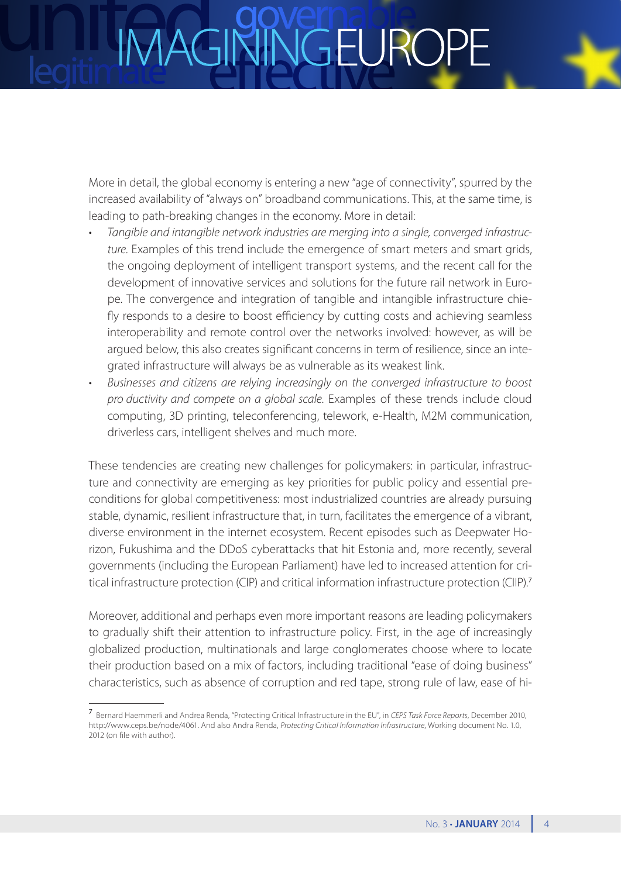More in detail, the global economy is entering a new "age of connectivity", spurred by the increased availability of "always on" broadband communications. This, at the same time, is leading to path-breaking changes in the economy. More in detail:

- Tangible and intangible network industries are merging into a single, converged infrastruc*ture*. Examples of this trend include the emergence of smart meters and smart grids, the ongoing deployment of intelligent transport systems, and the recent call for the development of innovative services and solutions for the future rail network in Europe. The convergence and integration of tangible and intangible infrastructure chiefly responds to a desire to boost efficiency by cutting costs and achieving seamless interoperability and remote control over the networks involved: however, as will be argued below, this also creates significant concerns in term of resilience, since an integrated infrastructure will always be as vulnerable as its weakest link.
- • *Businesses and citizens are relying increasingly on the converged infrastructure to boost pro ductivity and compete on a global scale*. Examples of these trends include cloud computing, 3D printing, teleconferencing, telework, e-Health, M2M communication, driverless cars, intelligent shelves and much more.

These tendencies are creating new challenges for policymakers: in particular, infrastructure and connectivity are emerging as key priorities for public policy and essential preconditions for global competitiveness: most industrialized countries are already pursuing stable, dynamic, resilient infrastructure that, in turn, facilitates the emergence of a vibrant, diverse environment in the internet ecosystem. Recent episodes such as Deepwater Horizon, Fukushima and the DDoS cyberattacks that hit Estonia and, more recently, several governments (including the European Parliament) have led to increased attention for critical infrastructure protection (CIP) and critical information infrastructure protection (CIIP).<sup>7</sup>

Moreover, additional and perhaps even more important reasons are leading policymakers to gradually shift their attention to infrastructure policy. First, in the age of increasingly globalized production, multinationals and large conglomerates choose where to locate their production based on a mix of factors, including traditional "ease of doing business" characteristics, such as absence of corruption and red tape, strong rule of law, ease of hi-

<sup>7</sup> Bernard Haemmerli and Andrea Renda, "Protecting Critical Infrastructure in the EU", in *CEPS Task Force Reports*, December 2010, [http://www.ceps.be/node/4061.](http://www.ceps.be/node/4061) And also Andra Renda, *Protecting Critical Information Infrastructure*, Working document No. 1.0, 2012 (on file with author).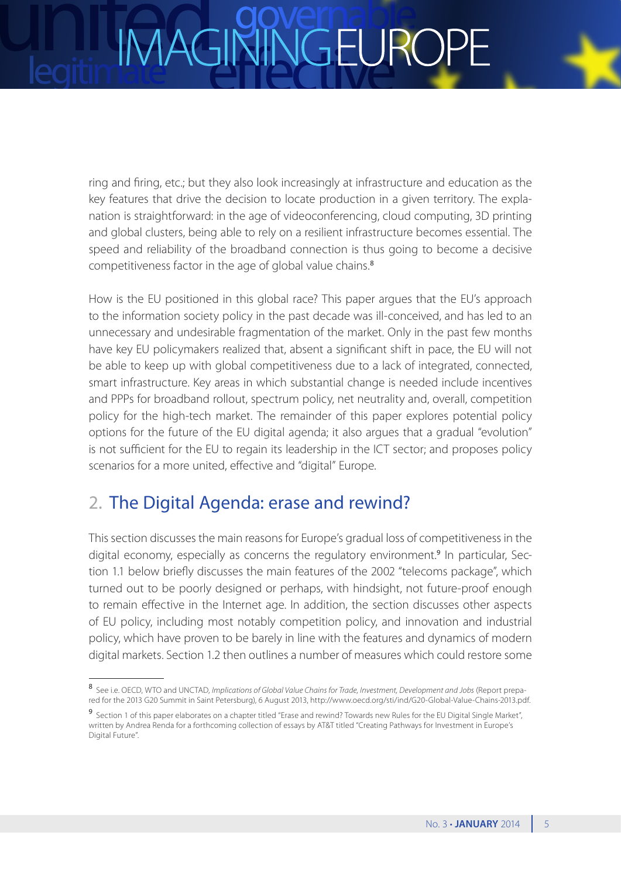## IGEURC

ring and firing, etc.; but they also look increasingly at infrastructure and education as the key features that drive the decision to locate production in a given territory. The explanation is straightforward: in the age of videoconferencing, cloud computing, 3D printing and global clusters, being able to rely on a resilient infrastructure becomes essential. The speed and reliability of the broadband connection is thus going to become a decisive competitiveness factor in the age of global value chains.<sup>8</sup>

How is the EU positioned in this global race? This paper argues that the EU's approach to the information society policy in the past decade was ill-conceived, and has led to an unnecessary and undesirable fragmentation of the market. Only in the past few months have key EU policymakers realized that, absent a significant shift in pace, the EU will not be able to keep up with global competitiveness due to a lack of integrated, connected, smart infrastructure. Key areas in which substantial change is needed include incentives and PPPs for broadband rollout, spectrum policy, net neutrality and, overall, competition policy for the high-tech market. The remainder of this paper explores potential policy options for the future of the EU digital agenda; it also argues that a gradual "evolution" is not sufficient for the EU to regain its leadership in the ICT sector; and proposes policy scenarios for a more united, effective and "digital" Europe.

### 2. The Digital Agenda: erase and rewind?

This section discusses the main reasons for Europe's gradual loss of competitiveness in the digital economy, especially as concerns the regulatory environment.<sup>9</sup> In particular, Section 1.1 below briefly discusses the main features of the 2002 "telecoms package", which turned out to be poorly designed or perhaps, with hindsight, not future-proof enough to remain effective in the Internet age. In addition, the section discusses other aspects of EU policy, including most notably competition policy, and innovation and industrial policy, which have proven to be barely in line with the features and dynamics of modern digital markets. Section 1.2 then outlines a number of measures which could restore some

<sup>8</sup> See i.e. OECD, WTO and UNCTAD, *Implications of Global Value Chains for Trade*, *Investment*, *Development and Jobs* (Report prepared for the 2013 G20 Summit in Saint Petersburg), 6 August 2013, [http://www.oecd.org/sti/ind/G20-Global-Value-Chains-2013.pdf.](http://www.oecd.org/sti/ind/G20-Global-Value-Chains-2013.pdf)

<sup>9</sup> Section 1 of this paper elaborates on a chapter titled "Erase and rewind? Towards new Rules for the EU Digital Single Market", written by Andrea Renda for a forthcoming collection of essays by AT&T titled "Creating Pathways for Investment in Europe's Digital Future".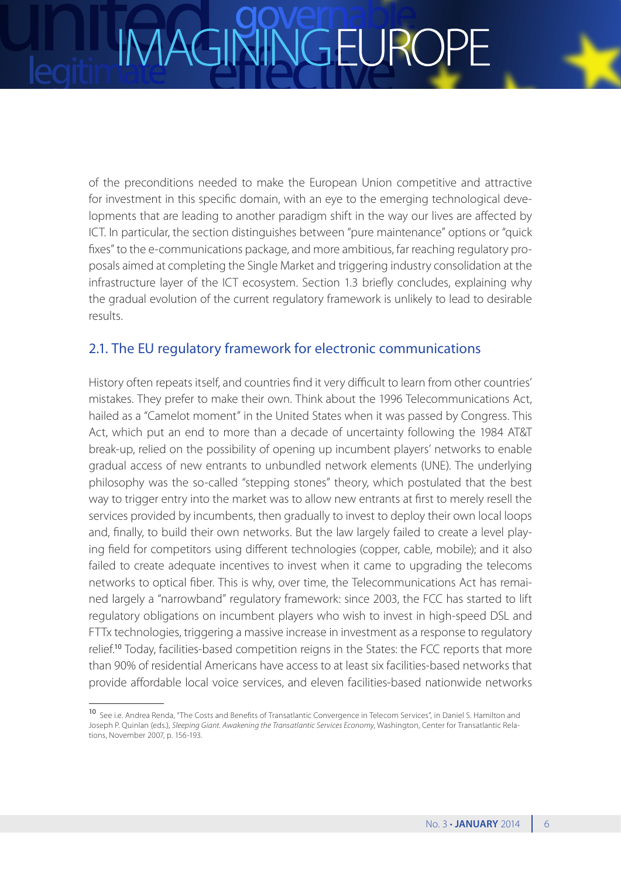of the preconditions needed to make the European Union competitive and attractive for investment in this specific domain, with an eye to the emerging technological developments that are leading to another paradigm shift in the way our lives are affected by ICT. In particular, the section distinguishes between "pure maintenance" options or "quick fixes" to the e-communications package, and more ambitious, far reaching regulatory proposals aimed at completing the Single Market and triggering industry consolidation at the infrastructure layer of the ICT ecosystem. Section 1.3 briefly concludes, explaining why the gradual evolution of the current regulatory framework is unlikely to lead to desirable results.

### 2.1. The EU regulatory framework for electronic communications

History often repeats itself, and countries find it very difficult to learn from other countries' mistakes. They prefer to make their own. Think about the 1996 Telecommunications Act, hailed as a "Camelot moment" in the United States when it was passed by Congress. This Act, which put an end to more than a decade of uncertainty following the 1984 AT&T break-up, relied on the possibility of opening up incumbent players' networks to enable gradual access of new entrants to unbundled network elements (UNE). The underlying philosophy was the so-called "stepping stones" theory, which postulated that the best way to trigger entry into the market was to allow new entrants at first to merely resell the services provided by incumbents, then gradually to invest to deploy their own local loops and, finally, to build their own networks. But the law largely failed to create a level playing field for competitors using different technologies (copper, cable, mobile); and it also failed to create adequate incentives to invest when it came to upgrading the telecoms networks to optical fiber. This is why, over time, the Telecommunications Act has remained largely a "narrowband" regulatory framework: since 2003, the FCC has started to lift regulatory obligations on incumbent players who wish to invest in high-speed DSL and FTTx technologies, triggering a massive increase in investment as a response to regulatory relief.<sup>10</sup> Today, facilities-based competition reigns in the States: the FCC reports that more than 90% of residential Americans have access to at least six facilities-based networks that provide affordable local voice services, and eleven facilities-based nationwide networks

<sup>10</sup> See i.e. Andrea Renda, "The Costs and Benefits of Transatlantic Convergence in Telecom Services", in Daniel S. Hamilton and Joseph P. Quinlan (eds.), *Sleeping Giant. Awakening the Transatlantic Services Economy*, Washington, Center for Transatlantic Relations, November 2007, p. 156-193.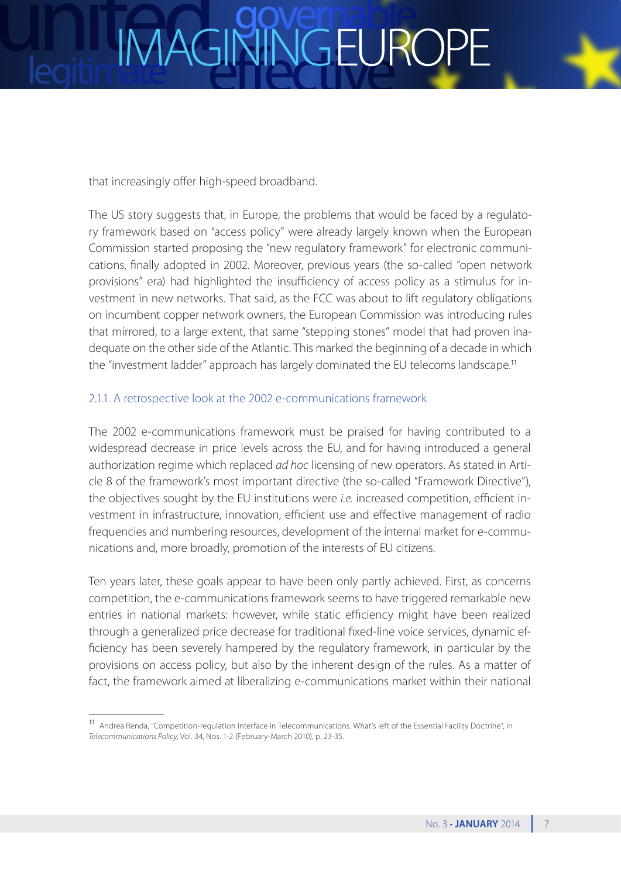### JGEURC

that increasingly offer high-speed broadband.

The US story suggests that, in Europe, the problems that would be faced by a regulatory framework based on "access policy" were already largely known when the European Commission started proposing the "new regulatory framework" for electronic communications, finally adopted in 2002. Moreover, previous years (the so-called "open network provisions" era) had highlighted the insufficiency of access policy as a stimulus for investment in new networks. That said, as the FCC was about to lift regulatory obligations on incumbent copper network owners, the European Commission was introducing rules that mirrored, to a large extent, that same "stepping stones" model that had proven inadequate on the other side of the Atlantic. This marked the beginning of a decade in which the "investment ladder" approach has largely dominated the EU telecoms landscape.<sup>11</sup>

### 2.1.1. A retrospective look at the 2002 e-communications framework

The 2002 e-communications framework must be praised for having contributed to a widespread decrease in price levels across the EU, and for having introduced a general authorization regime which replaced *ad hoc* licensing of new operators. As stated in Article 8 of the framework's most important directive (the so-called "Framework Directive"), the objectives sought by the EU institutions were *i.e.* increased competition, efficient investment in infrastructure, innovation, efficient use and effective management of radio frequencies and numbering resources, development of the internal market for e-communications and, more broadly, promotion of the interests of EU citizens.

Ten years later, these goals appear to have been only partly achieved. First, as concerns competition, the e-communications framework seems to have triggered remarkable new entries in national markets: however, while static efficiency might have been realized through a generalized price decrease for traditional fixed-line voice services, dynamic efficiency has been severely hampered by the regulatory framework, in particular by the provisions on access policy, but also by the inherent design of the rules. As a matter of fact, the framework aimed at liberalizing e-communications market within their national

<sup>11</sup> Andrea Renda, "Competition-regulation Interface in Telecommunications. What's left of the Essential Facility Doctrine", in *Telecommunications Policy*, Vol. 34, Nos. 1-2 (February-March 2010), p. 23-35.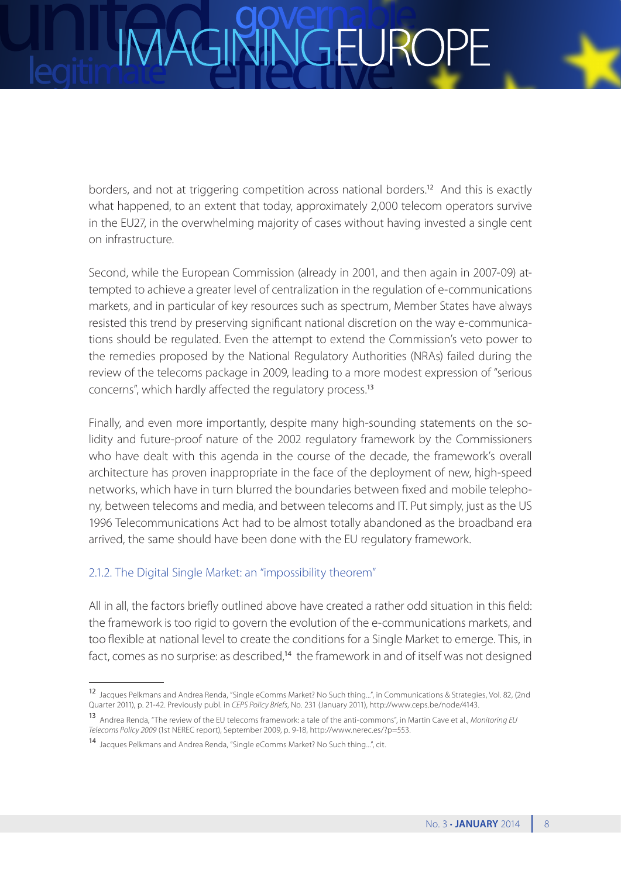## **JGEURC**

borders, and not at triggering competition across national borders.<sup>12</sup> And this is exactly what happened, to an extent that today, approximately 2,000 telecom operators survive in the EU27, in the overwhelming majority of cases without having invested a single cent on infrastructure.

Second, while the European Commission (already in 2001, and then again in 2007-09) attempted to achieve a greater level of centralization in the regulation of e-communications markets, and in particular of key resources such as spectrum, Member States have always resisted this trend by preserving significant national discretion on the way e-communications should be regulated. Even the attempt to extend the Commission's veto power to the remedies proposed by the National Regulatory Authorities (NRAs) failed during the review of the telecoms package in 2009, leading to a more modest expression of "serious concerns", which hardly affected the regulatory process.<sup>13</sup>

Finally, and even more importantly, despite many high-sounding statements on the solidity and future-proof nature of the 2002 regulatory framework by the Commissioners who have dealt with this agenda in the course of the decade, the framework's overall architecture has proven inappropriate in the face of the deployment of new, high-speed networks, which have in turn blurred the boundaries between fixed and mobile telephony, between telecoms and media, and between telecoms and IT. Put simply, just as the US 1996 Telecommunications Act had to be almost totally abandoned as the broadband era arrived, the same should have been done with the EU regulatory framework.

### 2.1.2. The Digital Single Market: an "impossibility theorem"

All in all, the factors briefly outlined above have created a rather odd situation in this field: the framework is too rigid to govern the evolution of the e-communications markets, and too flexible at national level to create the conditions for a Single Market to emerge. This, in fact, comes as no surprise: as described,<sup>14</sup> the framework in and of itself was not designed

<sup>12</sup> Jacques Pelkmans and Andrea Renda, "Single eComms Market? No Such thing...", in Communications & Strategies, Vol. 82, (2nd Quarter 2011), p. 21-42. Previously publ. in *CEPS Policy Briefs*, No. 231 (January 2011), [http://www.ceps.be/node/4143.](http://www.ceps.be/node/4143)

<sup>13</sup> Andrea Renda, "The review of the EU telecoms framework: a tale of the anti-commons", in Martin Cave et al., *Monitoring EU Telecoms Policy 2009* (1st NEREC report), September 2009, p. 9-18,<http://www.nerec.es/?p=553>.

<sup>14</sup> Jacques Pelkmans and Andrea Renda, "Single eComms Market? No Such thing...", cit.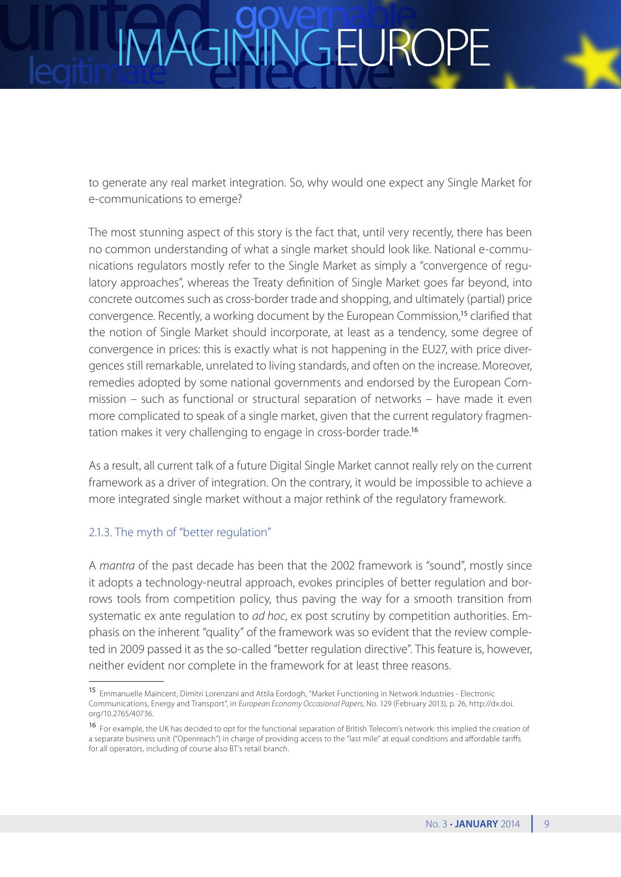### **JGEUR**

to generate any real market integration. So, why would one expect any Single Market for e-communications to emerge?

The most stunning aspect of this story is the fact that, until very recently, there has been no common understanding of what a single market should look like. National e-communications regulators mostly refer to the Single Market as simply a "convergence of regulatory approaches", whereas the Treaty definition of Single Market goes far beyond, into concrete outcomes such as cross-border trade and shopping, and ultimately (partial) price convergence. Recently, a working document by the European Commission,<sup>15</sup> clarified that the notion of Single Market should incorporate, at least as a tendency, some degree of convergence in prices: this is exactly what is not happening in the EU27, with price divergences still remarkable, unrelated to living standards, and often on the increase. Moreover, remedies adopted by some national governments and endorsed by the European Commission – such as functional or structural separation of networks – have made it even more complicated to speak of a single market, given that the current regulatory fragmentation makes it very challenging to engage in cross-border trade.<sup>16</sup>

As a result, all current talk of a future Digital Single Market cannot really rely on the current framework as a driver of integration. On the contrary, it would be impossible to achieve a more integrated single market without a major rethink of the regulatory framework.

### 2.1.3. The myth of "better regulation"

A *mantra* of the past decade has been that the 2002 framework is "sound", mostly since it adopts a technology-neutral approach, evokes principles of better regulation and borrows tools from competition policy, thus paving the way for a smooth transition from systematic ex ante regulation to *ad hoc*, ex post scrutiny by competition authorities. Emphasis on the inherent "quality" of the framework was so evident that the review completed in 2009 passed it as the so-called "better regulation directive". This feature is, however, neither evident nor complete in the framework for at least three reasons.

<sup>15</sup> Emmanuelle Maincent, Dimitri Lorenzani and Attila Eordogh, "Market Functioning in Network Industries - Electronic Communications, Energy and Transport", in *European Economy Occasional Papers*, No. 129 (February 2013), p. 26, [http://dx.doi.]( http://dx.doi.org/10.2765/40736) [org/10.2765/40736]( http://dx.doi.org/10.2765/40736).

<sup>16</sup> For example, the UK has decided to opt for the functional separation of British Telecom's network: this implied the creation of a separate business unit ("Openreach") in charge of providing access to the "last mile" at equal conditions and affordable tariffs for all operators, including of course also BT's retail branch.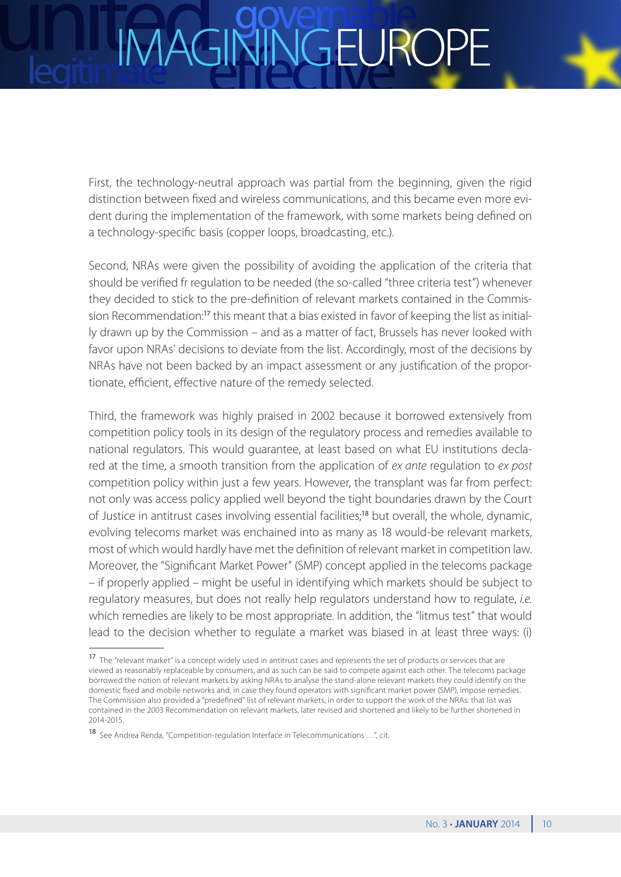### JGEURC

First, the technology-neutral approach was partial from the beginning, given the rigid distinction between fixed and wireless communications, and this became even more evident during the implementation of the framework, with some markets being defined on a technology-specific basis (copper loops, broadcasting, etc.).

Second, NRAs were given the possibility of avoiding the application of the criteria that should be verified fr regulation to be needed (the so-called "three criteria test") whenever they decided to stick to the pre-definition of relevant markets contained in the Commission Recommendation:<sup>17</sup> this meant that a bias existed in favor of keeping the list as initially drawn up by the Commission – and as a matter of fact, Brussels has never looked with favor upon NRAs' decisions to deviate from the list. Accordingly, most of the decisions by NRAs have not been backed by an impact assessment or any justification of the proportionate, efficient, effective nature of the remedy selected.

Third, the framework was highly praised in 2002 because it borrowed extensively from competition policy tools in its design of the regulatory process and remedies available to national regulators. This would guarantee, at least based on what EU institutions declared at the time, a smooth transition from the application of *ex ante* regulation to *ex post* competition policy within just a few years. However, the transplant was far from perfect: not only was access policy applied well beyond the tight boundaries drawn by the Court of Justice in antitrust cases involving essential facilities;<sup>18</sup> but overall, the whole, dynamic, evolving telecoms market was enchained into as many as 18 would-be relevant markets, most of which would hardly have met the definition of relevant market in competition law. Moreover, the "Significant Market Power" (SMP) concept applied in the telecoms package – if properly applied – might be useful in identifying which markets should be subject to regulatory measures, but does not really help regulators understand how to regulate, *i.e.* which remedies are likely to be most appropriate. In addition, the "litmus test" that would lead to the decision whether to regulate a market was biased in at least three ways: (i)

<sup>17</sup> The "relevant market" is a concept widely used in antitrust cases and represents the set of products or services that are viewed as reasonably replaceable by consumers, and as such can be said to compete against each other. The telecoms package borrowed the notion of relevant markets by asking NRAs to analyse the stand-alone relevant markets they could identify on the domestic fixed and mobile networks and, in case they found operators with significant market power (SMP), impose remedies. The Commission also provided a "predefined" list of relevant markets, in order to support the work of the NRAs: that list was contained in the 2003 Recommendation on relevant markets, later revised and shortened and likely to be further shortened in 2014-2015.

<sup>18</sup> See Andrea Renda, "Competition-regulation Interface in Telecommunications …", cit.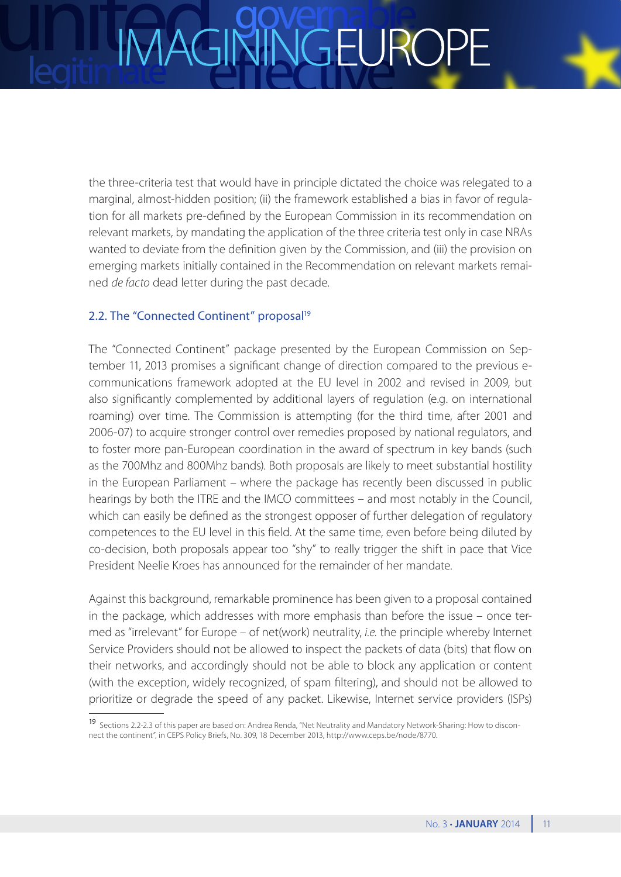## IGEURC

the three-criteria test that would have in principle dictated the choice was relegated to a marginal, almost-hidden position; (ii) the framework established a bias in favor of regulation for all markets pre-defined by the European Commission in its recommendation on relevant markets, by mandating the application of the three criteria test only in case NRAs wanted to deviate from the definition given by the Commission, and (iii) the provision on emerging markets initially contained in the Recommendation on relevant markets remained *de facto* dead letter during the past decade.

### 2.2. The "Connected Continent" proposal<sup>19</sup>

The "Connected Continent" package presented by the European Commission on September 11, 2013 promises a significant change of direction compared to the previous ecommunications framework adopted at the EU level in 2002 and revised in 2009, but also significantly complemented by additional layers of regulation (e.g. on international roaming) over time. The Commission is attempting (for the third time, after 2001 and 2006-07) to acquire stronger control over remedies proposed by national regulators, and to foster more pan-European coordination in the award of spectrum in key bands (such as the 700Mhz and 800Mhz bands). Both proposals are likely to meet substantial hostility in the European Parliament – where the package has recently been discussed in public hearings by both the ITRE and the IMCO committees – and most notably in the Council, which can easily be defined as the strongest opposer of further delegation of regulatory competences to the EU level in this field. At the same time, even before being diluted by co-decision, both proposals appear too "shy" to really trigger the shift in pace that Vice President Neelie Kroes has announced for the remainder of her mandate.

Against this background, remarkable prominence has been given to a proposal contained in the package, which addresses with more emphasis than before the issue – once termed as "irrelevant" for Europe – of net(work) neutrality, *i.e.* the principle whereby Internet Service Providers should not be allowed to inspect the packets of data (bits) that flow on their networks, and accordingly should not be able to block any application or content (with the exception, widely recognized, of spam filtering), and should not be allowed to prioritize or degrade the speed of any packet. Likewise, Internet service providers (ISPs)

<sup>19</sup> Sections 2.2-2.3 of this paper are based on: Andrea Renda, "Net Neutrality and Mandatory Network-Sharing: How to disconnect the continent", in CEPS Policy Briefs, No. 309, 18 December 2013, [http://www.ceps.be/node/8770.](http://www.ceps.be/node/8770)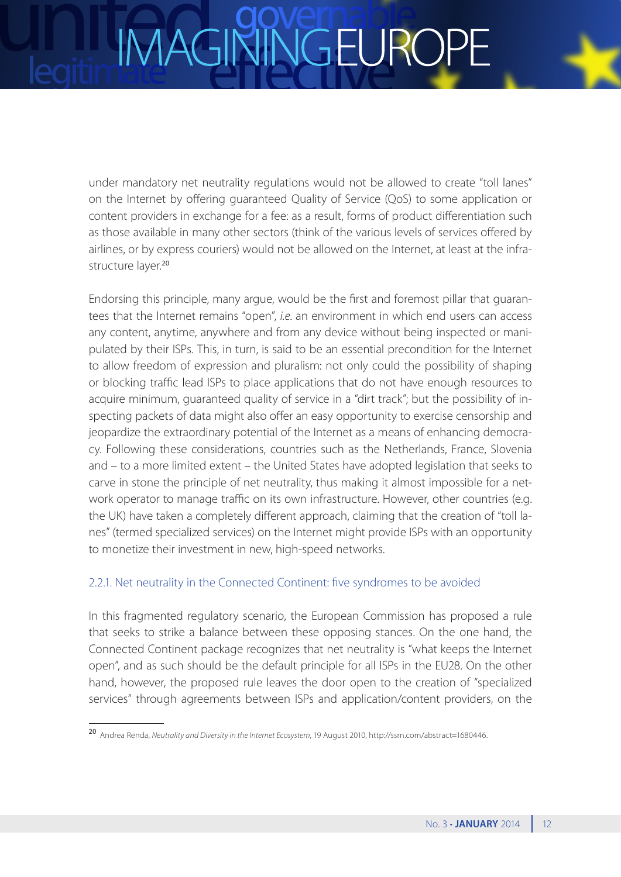under mandatory net neutrality regulations would not be allowed to create "toll lanes" on the Internet by offering guaranteed Quality of Service (QoS) to some application or content providers in exchange for a fee: as a result, forms of product differentiation such as those available in many other sectors (think of the various levels of services offered by airlines, or by express couriers) would not be allowed on the Internet, at least at the infrastructure layer.<sup>20</sup>

Endorsing this principle, many argue, would be the first and foremost pillar that guarantees that the Internet remains "open", *i.e*. an environment in which end users can access any content, anytime, anywhere and from any device without being inspected or manipulated by their ISPs. This, in turn, is said to be an essential precondition for the Internet to allow freedom of expression and pluralism: not only could the possibility of shaping or blocking traffic lead ISPs to place applications that do not have enough resources to acquire minimum, guaranteed quality of service in a "dirt track"; but the possibility of inspecting packets of data might also offer an easy opportunity to exercise censorship and jeopardize the extraordinary potential of the Internet as a means of enhancing democracy. Following these considerations, countries such as the Netherlands, France, Slovenia and – to a more limited extent – the United States have adopted legislation that seeks to carve in stone the principle of net neutrality, thus making it almost impossible for a network operator to manage traffic on its own infrastructure. However, other countries (e.g. the UK) have taken a completely different approach, claiming that the creation of "toll lanes" (termed specialized services) on the Internet might provide ISPs with an opportunity to monetize their investment in new, high-speed networks.

### 2.2.1. Net neutrality in the Connected Continent: five syndromes to be avoided

In this fragmented regulatory scenario, the European Commission has proposed a rule that seeks to strike a balance between these opposing stances. On the one hand, the Connected Continent package recognizes that net neutrality is "what keeps the Internet open", and as such should be the default principle for all ISPs in the EU28. On the other hand, however, the proposed rule leaves the door open to the creation of "specialized services" through agreements between ISPs and application/content providers, on the

<sup>20</sup> Andrea Renda, *Neutrality and Diversity in the Internet Ecosystem*, 19 August 2010, <http://ssrn.com/abstract=1680446>.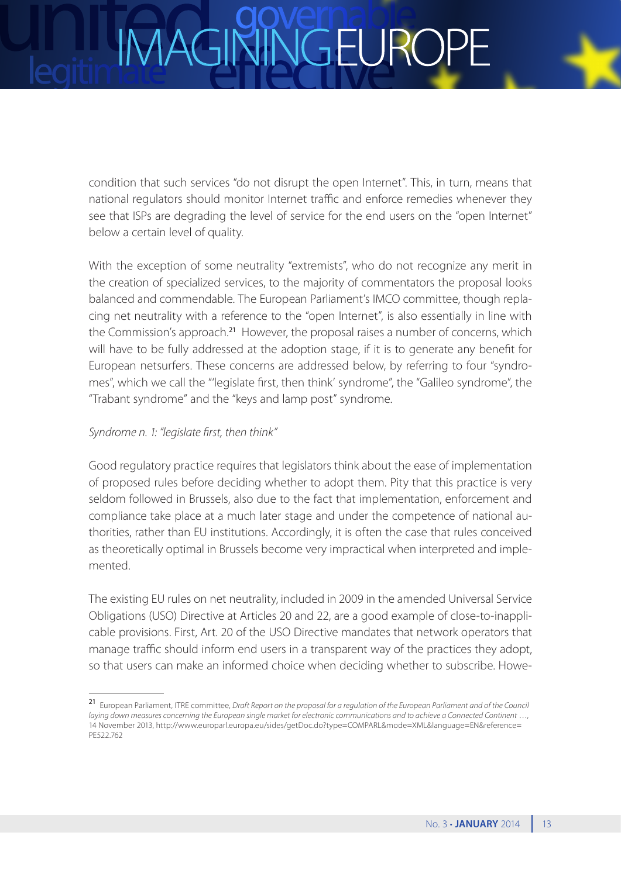### **IGEURC**

condition that such services "do not disrupt the open Internet". This, in turn, means that national regulators should monitor Internet traffic and enforce remedies whenever they see that ISPs are degrading the level of service for the end users on the "open Internet" below a certain level of quality.

With the exception of some neutrality "extremists", who do not recognize any merit in the creation of specialized services, to the majority of commentators the proposal looks balanced and commendable. The European Parliament's IMCO committee, though replacing net neutrality with a reference to the "open Internet", is also essentially in line with the Commission's approach.<sup>21</sup> However, the proposal raises a number of concerns, which will have to be fully addressed at the adoption stage, if it is to generate any benefit for European netsurfers. These concerns are addressed below, by referring to four "syndromes", which we call the "'legislate first, then think' syndrome", the "Galileo syndrome", the "Trabant syndrome" and the "keys and lamp post" syndrome.

### *Syndrome n. 1: "legislate first, then think"*

Good regulatory practice requires that legislators think about the ease of implementation of proposed rules before deciding whether to adopt them. Pity that this practice is very seldom followed in Brussels, also due to the fact that implementation, enforcement and compliance take place at a much later stage and under the competence of national authorities, rather than EU institutions. Accordingly, it is often the case that rules conceived as theoretically optimal in Brussels become very impractical when interpreted and implemented.

The existing EU rules on net neutrality, included in 2009 in the amended Universal Service Obligations (USO) Directive at Articles 20 and 22, are a good example of close-to-inapplicable provisions. First, Art. 20 of the USO Directive mandates that network operators that manage traffic should inform end users in a transparent way of the practices they adopt, so that users can make an informed choice when deciding whether to subscribe. Howe-

<sup>21</sup> European Parliament, ITRE committee, *Draft Report on the proposal for a regulation of the European Parliament and of the Council laying down measures concerning the European single market for electronic communications and to achieve a Connected Continent* …, 14 November 2013, [http://www.europarl.europa.eu/sides/getDoc.do?type=COMPARL&mode=XML&language=EN&reference=](http://www.europarl.europa.eu/sides/getDoc.do?type=COMPARL&mode=XML&language=EN&reference=PE522.762) [PE522.762](http://www.europarl.europa.eu/sides/getDoc.do?type=COMPARL&mode=XML&language=EN&reference=PE522.762)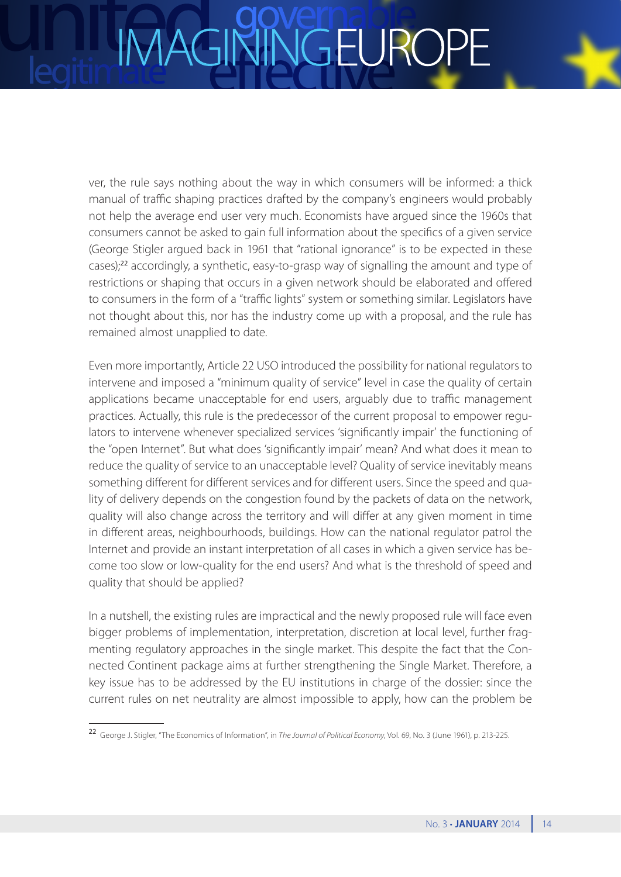## JGEURC

ver, the rule says nothing about the way in which consumers will be informed: a thick manual of traffic shaping practices drafted by the company's engineers would probably not help the average end user very much. Economists have argued since the 1960s that consumers cannot be asked to gain full information about the specifics of a given service (George Stigler argued back in 1961 that "rational ignorance" is to be expected in these cases);<sup>22</sup> accordingly, a synthetic, easy-to-grasp way of signalling the amount and type of restrictions or shaping that occurs in a given network should be elaborated and offered to consumers in the form of a "traffic lights" system or something similar. Legislators have not thought about this, nor has the industry come up with a proposal, and the rule has remained almost unapplied to date.

Even more importantly, Article 22 USO introduced the possibility for national regulators to intervene and imposed a "minimum quality of service" level in case the quality of certain applications became unacceptable for end users, arguably due to traffic management practices. Actually, this rule is the predecessor of the current proposal to empower regulators to intervene whenever specialized services 'significantly impair' the functioning of the "open Internet". But what does 'significantly impair' mean? And what does it mean to reduce the quality of service to an unacceptable level? Quality of service inevitably means something different for different services and for different users. Since the speed and quality of delivery depends on the congestion found by the packets of data on the network, quality will also change across the territory and will differ at any given moment in time in different areas, neighbourhoods, buildings. How can the national regulator patrol the Internet and provide an instant interpretation of all cases in which a given service has become too slow or low-quality for the end users? And what is the threshold of speed and quality that should be applied?

In a nutshell, the existing rules are impractical and the newly proposed rule will face even bigger problems of implementation, interpretation, discretion at local level, further fragmenting regulatory approaches in the single market. This despite the fact that the Connected Continent package aims at further strengthening the Single Market. Therefore, a key issue has to be addressed by the EU institutions in charge of the dossier: since the current rules on net neutrality are almost impossible to apply, how can the problem be

<sup>22</sup> George J. Stigler, "The Economics of Information", in *The Journal of Political Economy*, Vol. 69, No. 3 (June 1961), p. 213-225.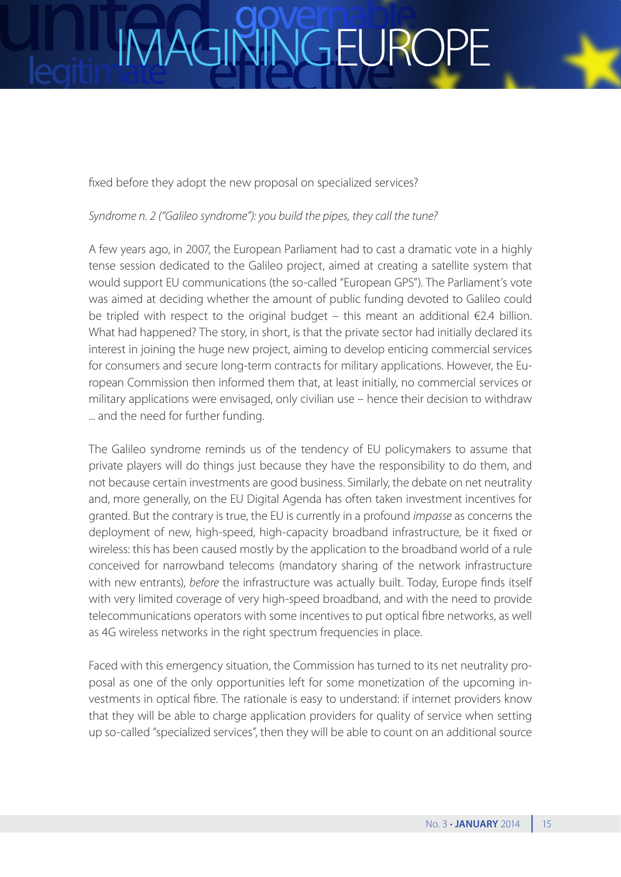

*Syndrome n. 2 ("Galileo syndrome"): you build the pipes, they call the tune?*

A few years ago, in 2007, the European Parliament had to cast a dramatic vote in a highly tense session dedicated to the Galileo project, aimed at creating a satellite system that would support EU communications (the so-called "European GPS"). The Parliament's vote was aimed at deciding whether the amount of public funding devoted to Galileo could be tripled with respect to the original budget – this meant an additional €2.4 billion. What had happened? The story, in short, is that the private sector had initially declared its interest in joining the huge new project, aiming to develop enticing commercial services for consumers and secure long-term contracts for military applications. However, the European Commission then informed them that, at least initially, no commercial services or military applications were envisaged, only civilian use – hence their decision to withdraw ... and the need for further funding.

The Galileo syndrome reminds us of the tendency of EU policymakers to assume that private players will do things just because they have the responsibility to do them, and not because certain investments are good business. Similarly, the debate on net neutrality and, more generally, on the EU Digital Agenda has often taken investment incentives for granted. But the contrary is true, the EU is currently in a profound *impasse* as concerns the deployment of new, high-speed, high-capacity broadband infrastructure, be it fixed or wireless: this has been caused mostly by the application to the broadband world of a rule conceived for narrowband telecoms (mandatory sharing of the network infrastructure with new entrants), *before* the infrastructure was actually built. Today, Europe finds itself with very limited coverage of very high-speed broadband, and with the need to provide telecommunications operators with some incentives to put optical fibre networks, as well as 4G wireless networks in the right spectrum frequencies in place.

Faced with this emergency situation, the Commission has turned to its net neutrality proposal as one of the only opportunities left for some monetization of the upcoming investments in optical fibre. The rationale is easy to understand: if internet providers know that they will be able to charge application providers for quality of service when setting up so-called "specialized services", then they will be able to count on an additional source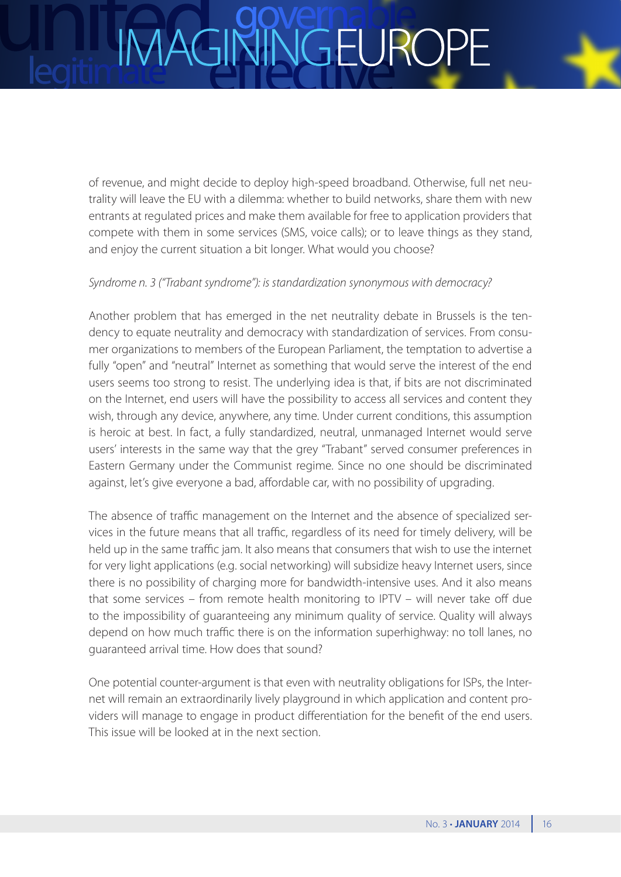### **IMAG** VGEUROI

of revenue, and might decide to deploy high-speed broadband. Otherwise, full net neutrality will leave the EU with a dilemma: whether to build networks, share them with new entrants at regulated prices and make them available for free to application providers that compete with them in some services (SMS, voice calls); or to leave things as they stand, and enjoy the current situation a bit longer. What would you choose?

### *Syndrome n. 3 ("Trabant syndrome"): is standardization synonymous with democracy?*

Another problem that has emerged in the net neutrality debate in Brussels is the tendency to equate neutrality and democracy with standardization of services. From consumer organizations to members of the European Parliament, the temptation to advertise a fully "open" and "neutral" Internet as something that would serve the interest of the end users seems too strong to resist. The underlying idea is that, if bits are not discriminated on the Internet, end users will have the possibility to access all services and content they wish, through any device, anywhere, any time. Under current conditions, this assumption is heroic at best. In fact, a fully standardized, neutral, unmanaged Internet would serve users' interests in the same way that the grey "Trabant" served consumer preferences in Eastern Germany under the Communist regime. Since no one should be discriminated against, let's give everyone a bad, affordable car, with no possibility of upgrading.

The absence of traffic management on the Internet and the absence of specialized services in the future means that all traffic, regardless of its need for timely delivery, will be held up in the same traffic jam. It also means that consumers that wish to use the internet for very light applications (e.g. social networking) will subsidize heavy Internet users, since there is no possibility of charging more for bandwidth-intensive uses. And it also means that some services – from remote health monitoring to IPTV – will never take off due to the impossibility of guaranteeing any minimum quality of service. Quality will always depend on how much traffic there is on the information superhighway: no toll lanes, no guaranteed arrival time. How does that sound?

One potential counter-argument is that even with neutrality obligations for ISPs, the Internet will remain an extraordinarily lively playground in which application and content providers will manage to engage in product differentiation for the benefit of the end users. This issue will be looked at in the next section.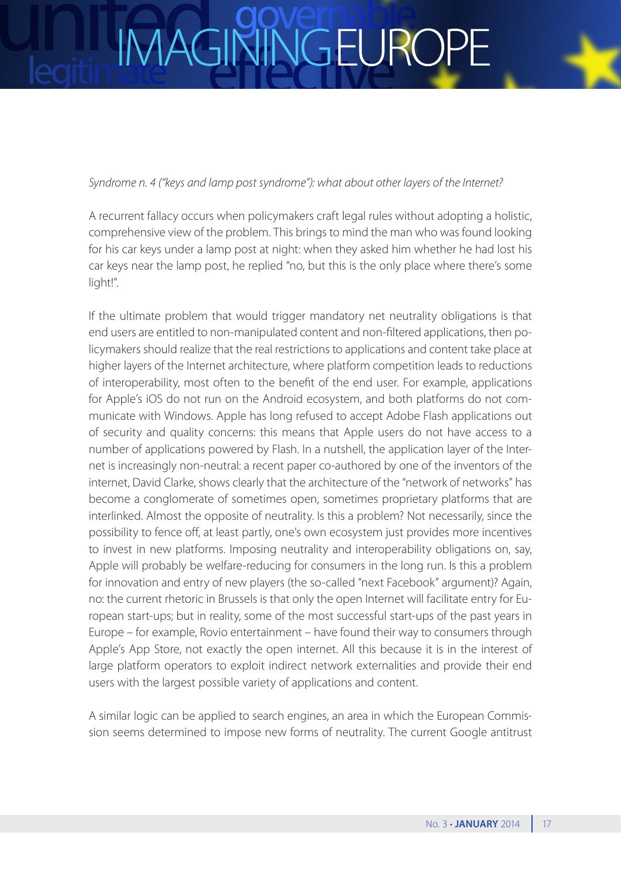### VGEURC **IMAG**

### *Syndrome n. 4 ("keys and lamp post syndrome"): what about other layers of the Internet?*

A recurrent fallacy occurs when policymakers craft legal rules without adopting a holistic, comprehensive view of the problem. This brings to mind the man who was found looking for his car keys under a lamp post at night: when they asked him whether he had lost his car keys near the lamp post, he replied "no, but this is the only place where there's some light!".

If the ultimate problem that would trigger mandatory net neutrality obligations is that end users are entitled to non-manipulated content and non-filtered applications, then policymakers should realize that the real restrictions to applications and content take place at higher layers of the Internet architecture, where platform competition leads to reductions of interoperability, most often to the benefit of the end user. For example, applications for Apple's iOS do not run on the Android ecosystem, and both platforms do not communicate with Windows. Apple has long refused to accept Adobe Flash applications out of security and quality concerns: this means that Apple users do not have access to a number of applications powered by Flash. In a nutshell, the application layer of the Internet is increasingly non-neutral: a recent paper co-authored by one of the inventors of the internet, David Clarke, shows clearly that the architecture of the "network of networks" has become a conglomerate of sometimes open, sometimes proprietary platforms that are interlinked. Almost the opposite of neutrality. Is this a problem? Not necessarily, since the possibility to fence off, at least partly, one's own ecosystem just provides more incentives to invest in new platforms. Imposing neutrality and interoperability obligations on, say, Apple will probably be welfare-reducing for consumers in the long run. Is this a problem for innovation and entry of new players (the so-called "next Facebook" argument)? Again, no: the current rhetoric in Brussels is that only the open Internet will facilitate entry for European start-ups; but in reality, some of the most successful start-ups of the past years in Europe – for example, Rovio entertainment – have found their way to consumers through Apple's App Store, not exactly the open internet. All this because it is in the interest of large platform operators to exploit indirect network externalities and provide their end users with the largest possible variety of applications and content.

A similar logic can be applied to search engines, an area in which the European Commission seems determined to impose new forms of neutrality. The current Google antitrust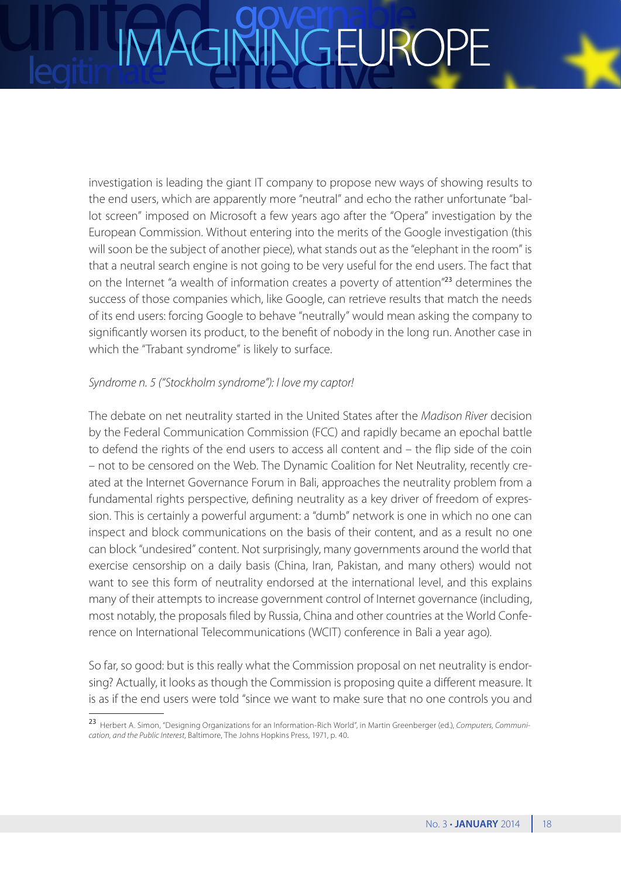## JGEURC

investigation is leading the giant IT company to propose new ways of showing results to the end users, which are apparently more "neutral" and echo the rather unfortunate "ballot screen" imposed on Microsoft a few years ago after the "Opera" investigation by the European Commission. Without entering into the merits of the Google investigation (this will soon be the subject of another piece), what stands out as the "elephant in the room" is that a neutral search engine is not going to be very useful for the end users. The fact that on the Internet "a wealth of information creates a poverty of attention"<sup>23</sup> determines the success of those companies which, like Google, can retrieve results that match the needs of its end users: forcing Google to behave "neutrally" would mean asking the company to significantly worsen its product, to the benefit of nobody in the long run. Another case in which the "Trabant syndrome" is likely to surface.

### *Syndrome n. 5 ("Stockholm syndrome"): I love my captor!*

The debate on net neutrality started in the United States after the *Madison River* decision by the Federal Communication Commission (FCC) and rapidly became an epochal battle to defend the rights of the end users to access all content and – the flip side of the coin – not to be censored on the Web. The Dynamic Coalition for Net Neutrality, recently created at the Internet Governance Forum in Bali, approaches the neutrality problem from a fundamental rights perspective, defining neutrality as a key driver of freedom of expression. This is certainly a powerful argument: a "dumb" network is one in which no one can inspect and block communications on the basis of their content, and as a result no one can block "undesired" content. Not surprisingly, many governments around the world that exercise censorship on a daily basis (China, Iran, Pakistan, and many others) would not want to see this form of neutrality endorsed at the international level, and this explains many of their attempts to increase government control of Internet governance (including, most notably, the proposals filed by Russia, China and other countries at the World Conference on International Telecommunications (WCIT) conference in Bali a year ago).

So far, so good: but is this really what the Commission proposal on net neutrality is endorsing? Actually, it looks as though the Commission is proposing quite a different measure. It is as if the end users were told "since we want to make sure that no one controls you and

<sup>23</sup> Herbert A. Simon, "Designing Organizations for an Information-Rich World", in Martin Greenberger (ed.), *Computers, Communication, and the Public Interest*, Baltimore, The Johns Hopkins Press, 1971, p. 40.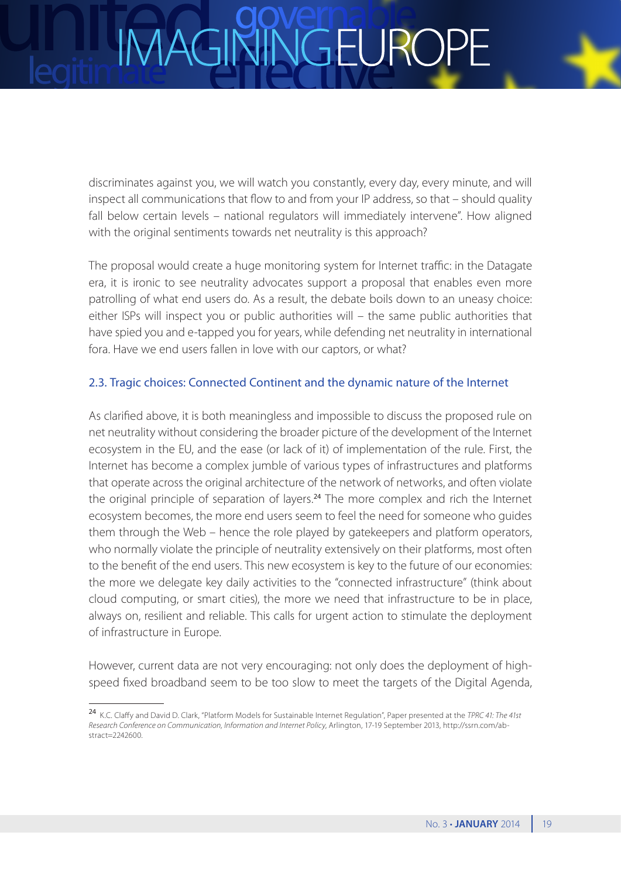discriminates against you, we will watch you constantly, every day, every minute, and will inspect all communications that flow to and from your IP address, so that – should quality fall below certain levels – national regulators will immediately intervene". How aligned with the original sentiments towards net neutrality is this approach?

The proposal would create a huge monitoring system for Internet traffic: in the Datagate era, it is ironic to see neutrality advocates support a proposal that enables even more patrolling of what end users do. As a result, the debate boils down to an uneasy choice: either ISPs will inspect you or public authorities will – the same public authorities that have spied you and e-tapped you for years, while defending net neutrality in international fora. Have we end users fallen in love with our captors, or what?

### 2.3. Tragic choices: Connected Continent and the dynamic nature of the Internet

As clarified above, it is both meaningless and impossible to discuss the proposed rule on net neutrality without considering the broader picture of the development of the Internet ecosystem in the EU, and the ease (or lack of it) of implementation of the rule. First, the Internet has become a complex jumble of various types of infrastructures and platforms that operate across the original architecture of the network of networks, and often violate the original principle of separation of layers.<sup>24</sup> The more complex and rich the Internet ecosystem becomes, the more end users seem to feel the need for someone who guides them through the Web – hence the role played by gatekeepers and platform operators, who normally violate the principle of neutrality extensively on their platforms, most often to the benefit of the end users. This new ecosystem is key to the future of our economies: the more we delegate key daily activities to the "connected infrastructure" (think about cloud computing, or smart cities), the more we need that infrastructure to be in place, always on, resilient and reliable. This calls for urgent action to stimulate the deployment of infrastructure in Europe.

However, current data are not very encouraging: not only does the deployment of highspeed fixed broadband seem to be too slow to meet the targets of the Digital Agenda,

<sup>24</sup> K.C. Claffy and David D. Clark, "Platform Models for Sustainable Internet Regulation", Paper presented at the *TPRC 41: The 41st Research Conference on Communication, Information and Internet Policy*, Arlington, 17-19 September 2013, [http://ssrn.com/ab](http://ssrn.com/abstract=2242600)[stract=2242600.](http://ssrn.com/abstract=2242600)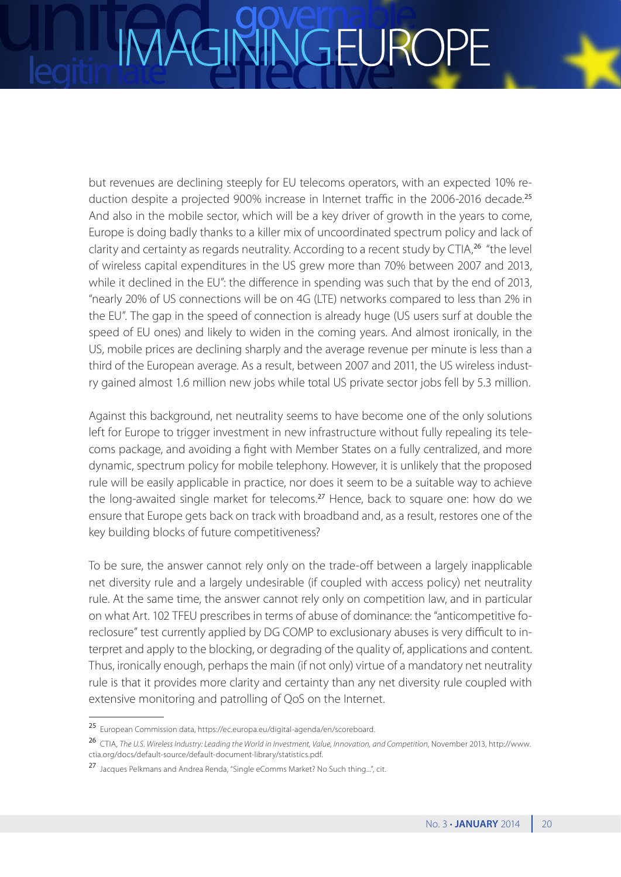but revenues are declining steeply for EU telecoms operators, with an expected 10% reduction despite a projected 900% increase in Internet traffic in the 2006-2016 decade.<sup>25</sup> And also in the mobile sector, which will be a key driver of growth in the years to come, Europe is doing badly thanks to a killer mix of uncoordinated spectrum policy and lack of clarity and certainty as regards neutrality. According to a recent study by CTIA,<sup>26</sup> "the level of wireless capital expenditures in the US grew more than 70% between 2007 and 2013, while it declined in the EU": the difference in spending was such that by the end of 2013, "nearly 20% of US connections will be on 4G (LTE) networks compared to less than 2% in the EU". The gap in the speed of connection is already huge (US users surf at double the speed of EU ones) and likely to widen in the coming years. And almost ironically, in the US, mobile prices are declining sharply and the average revenue per minute is less than a third of the European average. As a result, between 2007 and 2011, the US wireless industry gained almost 1.6 million new jobs while total US private sector jobs fell by 5.3 million.

Against this background, net neutrality seems to have become one of the only solutions left for Europe to trigger investment in new infrastructure without fully repealing its telecoms package, and avoiding a fight with Member States on a fully centralized, and more dynamic, spectrum policy for mobile telephony. However, it is unlikely that the proposed rule will be easily applicable in practice, nor does it seem to be a suitable way to achieve the long-awaited single market for telecoms.<sup>27</sup> Hence, back to square one: how do we ensure that Europe gets back on track with broadband and, as a result, restores one of the key building blocks of future competitiveness?

To be sure, the answer cannot rely only on the trade-off between a largely inapplicable net diversity rule and a largely undesirable (if coupled with access policy) net neutrality rule. At the same time, the answer cannot rely only on competition law, and in particular on what Art. 102 TFEU prescribes in terms of abuse of dominance: the "anticompetitive foreclosure" test currently applied by DG COMP to exclusionary abuses is very difficult to interpret and apply to the blocking, or degrading of the quality of, applications and content. Thus, ironically enough, perhaps the main (if not only) virtue of a mandatory net neutrality rule is that it provides more clarity and certainty than any net diversity rule coupled with extensive monitoring and patrolling of QoS on the Internet.

<sup>25</sup> European Commission data, <https://ec.europa.eu/digital-agenda/en/scoreboard>.

<sup>26</sup> CTIA, *The U.S. Wireless Industry: Leading the World in Investment, Value, Innovation, and Competition*, November 2013, [http://www.](http://www.ctia.org/docs/default-source/default-document-library/statistics.pdf) [ctia.org/docs/default-source/default-document-library/statistics.pdf.](http://www.ctia.org/docs/default-source/default-document-library/statistics.pdf)

<sup>27</sup> Jacques Pelkmans and Andrea Renda, "Single eComms Market? No Such thing...", cit.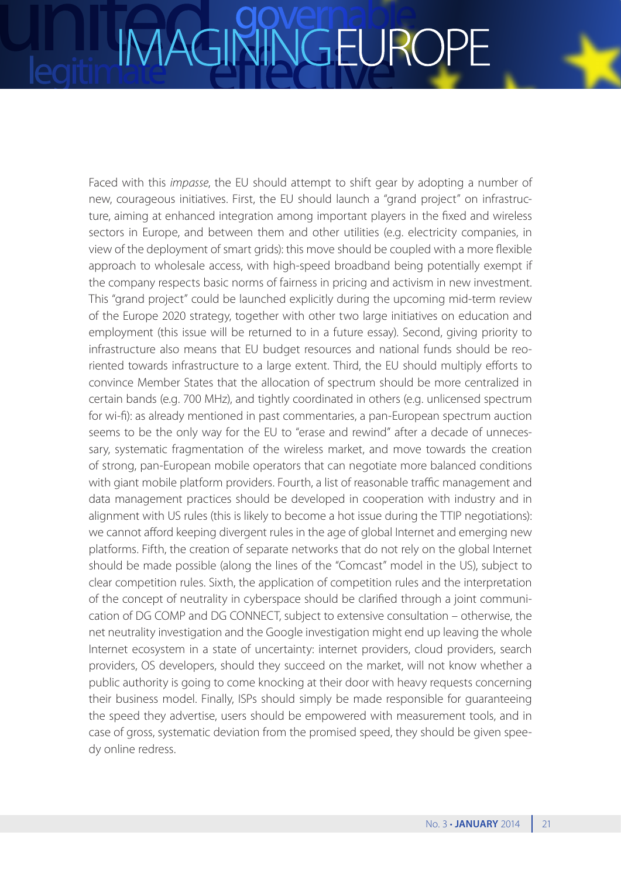### VGEUROI **IMAGI**

Faced with this *impasse*, the EU should attempt to shift gear by adopting a number of new, courageous initiatives. First, the EU should launch a "grand project" on infrastructure, aiming at enhanced integration among important players in the fixed and wireless sectors in Europe, and between them and other utilities (e.g. electricity companies, in view of the deployment of smart grids): this move should be coupled with a more flexible approach to wholesale access, with high-speed broadband being potentially exempt if the company respects basic norms of fairness in pricing and activism in new investment. This "grand project" could be launched explicitly during the upcoming mid-term review of the Europe 2020 strategy, together with other two large initiatives on education and employment (this issue will be returned to in a future essay). Second, giving priority to infrastructure also means that EU budget resources and national funds should be reoriented towards infrastructure to a large extent. Third, the EU should multiply efforts to convince Member States that the allocation of spectrum should be more centralized in certain bands (e.g. 700 MHz), and tightly coordinated in others (e.g. unlicensed spectrum for wi-fi): as already mentioned in past commentaries, a pan-European spectrum auction seems to be the only way for the EU to "erase and rewind" after a decade of unnecessary, systematic fragmentation of the wireless market, and move towards the creation of strong, pan-European mobile operators that can negotiate more balanced conditions with giant mobile platform providers. Fourth, a list of reasonable traffic management and data management practices should be developed in cooperation with industry and in alignment with US rules (this is likely to become a hot issue during the TTIP negotiations): we cannot afford keeping divergent rules in the age of global Internet and emerging new platforms. Fifth, the creation of separate networks that do not rely on the global Internet should be made possible (along the lines of the "Comcast" model in the US), subject to clear competition rules. Sixth, the application of competition rules and the interpretation of the concept of neutrality in cyberspace should be clarified through a joint communication of DG COMP and DG CONNECT, subject to extensive consultation – otherwise, the net neutrality investigation and the Google investigation might end up leaving the whole Internet ecosystem in a state of uncertainty: internet providers, cloud providers, search providers, OS developers, should they succeed on the market, will not know whether a public authority is going to come knocking at their door with heavy requests concerning their business model. Finally, ISPs should simply be made responsible for guaranteeing the speed they advertise, users should be empowered with measurement tools, and in case of gross, systematic deviation from the promised speed, they should be given speedy online redress.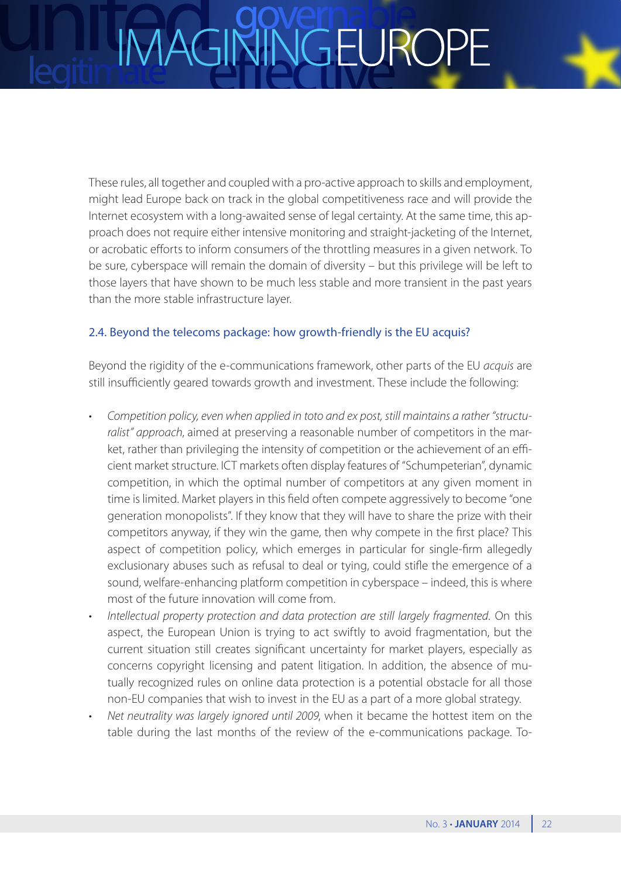These rules, all together and coupled with a pro-active approach to skills and employment, might lead Europe back on track in the global competitiveness race and will provide the Internet ecosystem with a long-awaited sense of legal certainty. At the same time, this approach does not require either intensive monitoring and straight-jacketing of the Internet, or acrobatic efforts to inform consumers of the throttling measures in a given network. To be sure, cyberspace will remain the domain of diversity – but this privilege will be left to those layers that have shown to be much less stable and more transient in the past years than the more stable infrastructure layer.

### 2.4. Beyond the telecoms package: how growth-friendly is the EU acquis?

Beyond the rigidity of the e-communications framework, other parts of the EU *acquis* are still insufficiently geared towards growth and investment. These include the following:

- Competition policy, even when applied in toto and ex post, still maintains a rather "structu*ralist" approach*, aimed at preserving a reasonable number of competitors in the market, rather than privileging the intensity of competition or the achievement of an efficient market structure. ICT markets often display features of "Schumpeterian", dynamic competition, in which the optimal number of competitors at any given moment in time is limited. Market players in this field often compete aggressively to become "one generation monopolists". If they know that they will have to share the prize with their competitors anyway, if they win the game, then why compete in the first place? This aspect of competition policy, which emerges in particular for single-firm allegedly exclusionary abuses such as refusal to deal or tying, could stifle the emergence of a sound, welfare-enhancing platform competition in cyberspace – indeed, this is where most of the future innovation will come from.
- Intellectual property protection and data protection are still largely fragmented. On this aspect, the European Union is trying to act swiftly to avoid fragmentation, but the current situation still creates significant uncertainty for market players, especially as concerns copyright licensing and patent litigation. In addition, the absence of mutually recognized rules on online data protection is a potential obstacle for all those non-EU companies that wish to invest in the EU as a part of a more global strategy.
- Net neutrality was largely ignored until 2009, when it became the hottest item on the table during the last months of the review of the e-communications package. To-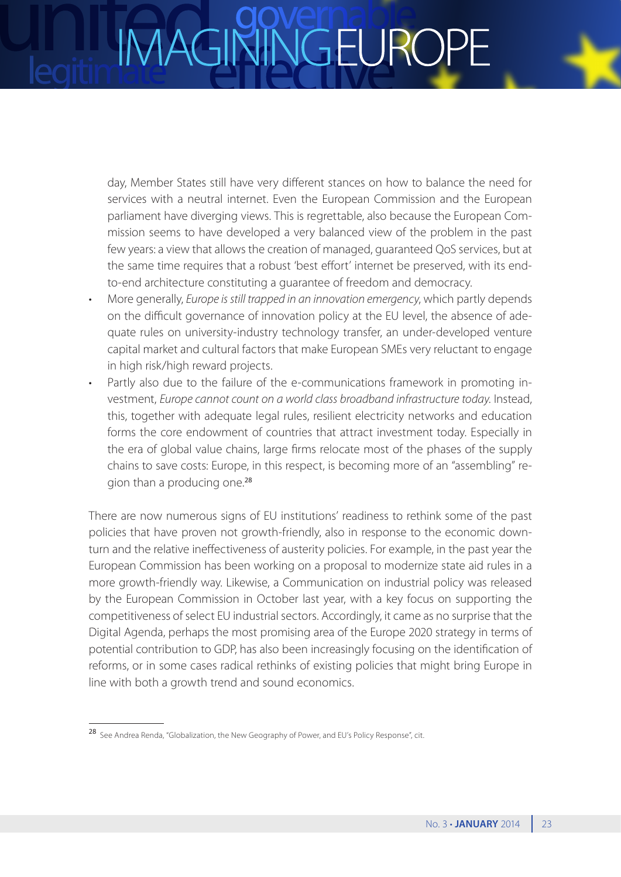day, Member States still have very different stances on how to balance the need for services with a neutral internet. Even the European Commission and the European parliament have diverging views. This is regrettable, also because the European Commission seems to have developed a very balanced view of the problem in the past few years: a view that allows the creation of managed, guaranteed QoS services, but at the same time requires that a robust 'best effort' internet be preserved, with its endto-end architecture constituting a guarantee of freedom and democracy.

- More generally, *Europe is still trapped in an innovation emergency*, which partly depends on the difficult governance of innovation policy at the EU level, the absence of adequate rules on university-industry technology transfer, an under-developed venture capital market and cultural factors that make European SMEs very reluctant to engage in high risk/high reward projects.
- Partly also due to the failure of the e-communications framework in promoting investment, *Europe cannot count on a world class broadband infrastructure today*. Instead, this, together with adequate legal rules, resilient electricity networks and education forms the core endowment of countries that attract investment today. Especially in the era of global value chains, large firms relocate most of the phases of the supply chains to save costs: Europe, in this respect, is becoming more of an "assembling" region than a producing one.<sup>28</sup>

There are now numerous signs of EU institutions' readiness to rethink some of the past policies that have proven not growth-friendly, also in response to the economic downturn and the relative ineffectiveness of austerity policies. For example, in the past year the European Commission has been working on a proposal to modernize state aid rules in a more growth-friendly way. Likewise, a Communication on industrial policy was released by the European Commission in October last year, with a key focus on supporting the competitiveness of select EU industrial sectors. Accordingly, it came as no surprise that the Digital Agenda, perhaps the most promising area of the Europe 2020 strategy in terms of potential contribution to GDP, has also been increasingly focusing on the identification of reforms, or in some cases radical rethinks of existing policies that might bring Europe in line with both a growth trend and sound economics.

<sup>28</sup> See Andrea Renda, "Globalization, the New Geography of Power, and EU's Policy Response", cit.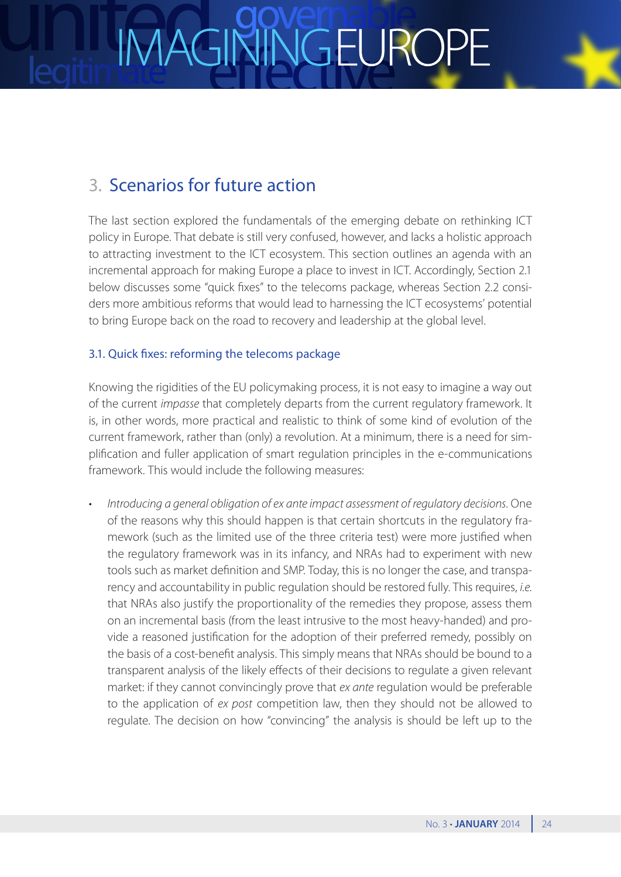### 3. Scenarios for future action

The last section explored the fundamentals of the emerging debate on rethinking ICT policy in Europe. That debate is still very confused, however, and lacks a holistic approach to attracting investment to the ICT ecosystem. This section outlines an agenda with an incremental approach for making Europe a place to invest in ICT. Accordingly, Section 2.1 below discusses some "quick fixes" to the telecoms package, whereas Section 2.2 considers more ambitious reforms that would lead to harnessing the ICT ecosystems' potential to bring Europe back on the road to recovery and leadership at the global level.

### 3.1. Quick fixes: reforming the telecoms package

Knowing the rigidities of the EU policymaking process, it is not easy to imagine a way out of the current *impasse* that completely departs from the current regulatory framework. It is, in other words, more practical and realistic to think of some kind of evolution of the current framework, rather than (only) a revolution. At a minimum, there is a need for simplification and fuller application of smart regulation principles in the e-communications framework. This would include the following measures:

Introducing a general obligation of ex ante impact assessment of regulatory decisions. One of the reasons why this should happen is that certain shortcuts in the regulatory framework (such as the limited use of the three criteria test) were more justified when the regulatory framework was in its infancy, and NRAs had to experiment with new tools such as market definition and SMP. Today, this is no longer the case, and transparency and accountability in public regulation should be restored fully. This requires, *i.e.* that NRAs also justify the proportionality of the remedies they propose, assess them on an incremental basis (from the least intrusive to the most heavy-handed) and provide a reasoned justification for the adoption of their preferred remedy, possibly on the basis of a cost-benefit analysis. This simply means that NRAs should be bound to a transparent analysis of the likely effects of their decisions to regulate a given relevant market: if they cannot convincingly prove that *ex ante* regulation would be preferable to the application of *ex post* competition law, then they should not be allowed to regulate. The decision on how "convincing" the analysis is should be left up to the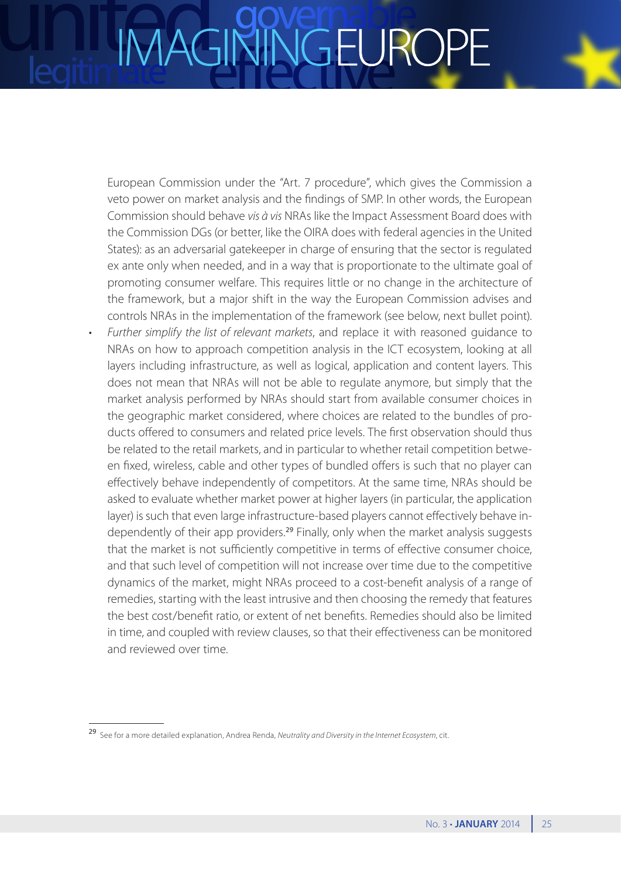## JGEURC

European Commission under the "Art. 7 procedure", which gives the Commission a veto power on market analysis and the findings of SMP. In other words, the European Commission should behave *vis à vis* NRAs like the Impact Assessment Board does with the Commission DGs (or better, like the OIRA does with federal agencies in the United States): as an adversarial gatekeeper in charge of ensuring that the sector is regulated ex ante only when needed, and in a way that is proportionate to the ultimate goal of promoting consumer welfare. This requires little or no change in the architecture of the framework, but a major shift in the way the European Commission advises and controls NRAs in the implementation of the framework (see below, next bullet point).

Further simplify the list of relevant markets, and replace it with reasoned quidance to NRAs on how to approach competition analysis in the ICT ecosystem, looking at all layers including infrastructure, as well as logical, application and content layers. This does not mean that NRAs will not be able to regulate anymore, but simply that the market analysis performed by NRAs should start from available consumer choices in the geographic market considered, where choices are related to the bundles of products offered to consumers and related price levels. The first observation should thus be related to the retail markets, and in particular to whether retail competition between fixed, wireless, cable and other types of bundled offers is such that no player can effectively behave independently of competitors. At the same time, NRAs should be asked to evaluate whether market power at higher layers (in particular, the application layer) is such that even large infrastructure-based players cannot effectively behave independently of their app providers.<sup>29</sup> Finally, only when the market analysis suggests that the market is not sufficiently competitive in terms of effective consumer choice, and that such level of competition will not increase over time due to the competitive dynamics of the market, might NRAs proceed to a cost-benefit analysis of a range of remedies, starting with the least intrusive and then choosing the remedy that features the best cost/benefit ratio, or extent of net benefits. Remedies should also be limited in time, and coupled with review clauses, so that their effectiveness can be monitored and reviewed over time.

<sup>29</sup> See for a more detailed explanation, Andrea Renda, *Neutrality and Diversity in the Internet Ecosystem*, cit.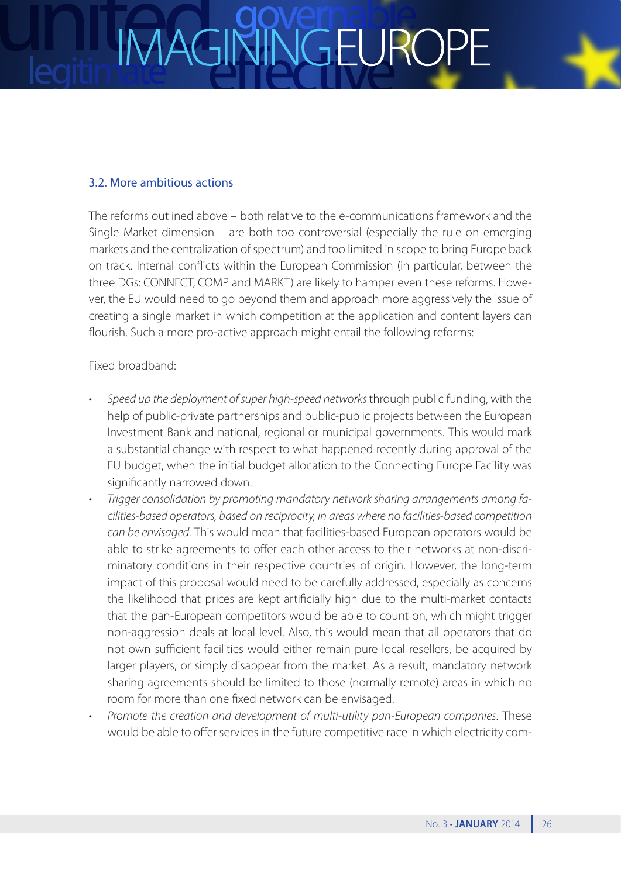## VGEUROI

### 3.2. More ambitious actions

The reforms outlined above – both relative to the e-communications framework and the Single Market dimension – are both too controversial (especially the rule on emerging markets and the centralization of spectrum) and too limited in scope to bring Europe back on track. Internal conflicts within the European Commission (in particular, between the three DGs: CONNECT, COMP and MARKT) are likely to hamper even these reforms. However, the EU would need to go beyond them and approach more aggressively the issue of creating a single market in which competition at the application and content layers can flourish. Such a more pro-active approach might entail the following reforms:

### Fixed broadband:

- Speed up the deployment of super high-speed networks through public funding, with the help of public-private partnerships and public-public projects between the European Investment Bank and national, regional or municipal governments. This would mark a substantial change with respect to what happened recently during approval of the EU budget, when the initial budget allocation to the Connecting Europe Facility was significantly narrowed down.
- Trigger consolidation by promoting mandatory network sharing arrangements among fa*cilities-based operators, based on reciprocity, in areas where no facilities-based competition can be envisaged*. This would mean that facilities-based European operators would be able to strike agreements to offer each other access to their networks at non-discriminatory conditions in their respective countries of origin. However, the long-term impact of this proposal would need to be carefully addressed, especially as concerns the likelihood that prices are kept artificially high due to the multi-market contacts that the pan-European competitors would be able to count on, which might trigger non-aggression deals at local level. Also, this would mean that all operators that do not own sufficient facilities would either remain pure local resellers, be acquired by larger players, or simply disappear from the market. As a result, mandatory network sharing agreements should be limited to those (normally remote) areas in which no room for more than one fixed network can be envisaged.
- Promote the creation and development of multi-utility pan-European companies. These would be able to offer services in the future competitive race in which electricity com-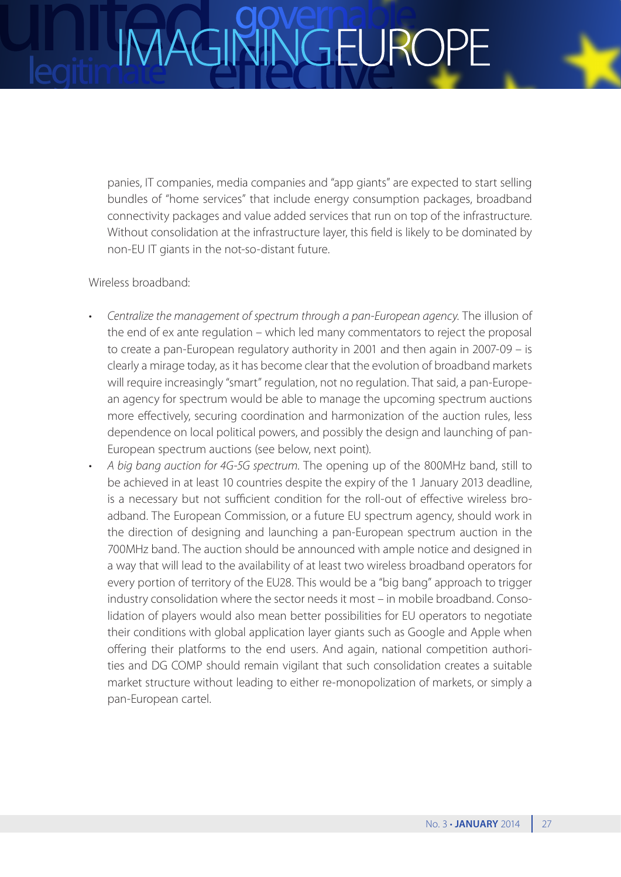### VGEUROI

panies, IT companies, media companies and "app giants" are expected to start selling bundles of "home services" that include energy consumption packages, broadband connectivity packages and value added services that run on top of the infrastructure. Without consolidation at the infrastructure layer, this field is likely to be dominated by non-EU IT giants in the not-so-distant future.

### Wireless broadband:

- Centralize the management of spectrum through a pan-European agency. The illusion of the end of ex ante regulation – which led many commentators to reject the proposal to create a pan-European regulatory authority in 2001 and then again in 2007-09 – is clearly a mirage today, as it has become clear that the evolution of broadband markets will require increasingly "smart" regulation, not no regulation. That said, a pan-European agency for spectrum would be able to manage the upcoming spectrum auctions more effectively, securing coordination and harmonization of the auction rules, less dependence on local political powers, and possibly the design and launching of pan-European spectrum auctions (see below, next point).
- A big bang auction for 4G-5G spectrum. The opening up of the 800MHz band, still to be achieved in at least 10 countries despite the expiry of the 1 January 2013 deadline, is a necessary but not sufficient condition for the roll-out of effective wireless broadband. The European Commission, or a future EU spectrum agency, should work in the direction of designing and launching a pan-European spectrum auction in the 700MHz band. The auction should be announced with ample notice and designed in a way that will lead to the availability of at least two wireless broadband operators for every portion of territory of the EU28. This would be a "big bang" approach to trigger industry consolidation where the sector needs it most – in mobile broadband. Consolidation of players would also mean better possibilities for EU operators to negotiate their conditions with global application layer giants such as Google and Apple when offering their platforms to the end users. And again, national competition authorities and DG COMP should remain vigilant that such consolidation creates a suitable market structure without leading to either re-monopolization of markets, or simply a pan-European cartel.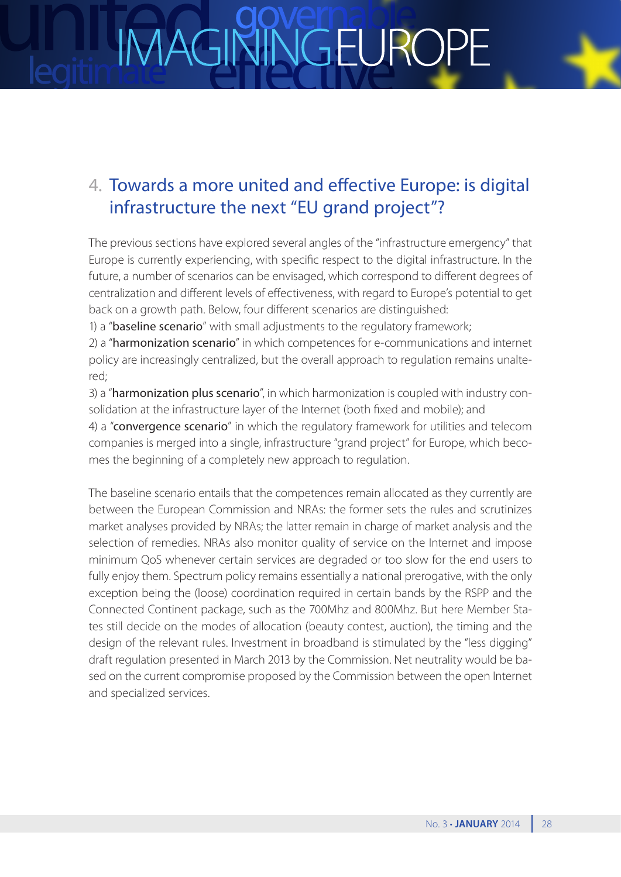### NGEUROI **IMAGI**



### 4. Towards a more united and effective Europe: is digital infrastructure the next "EU grand project"?

The previous sections have explored several angles of the "infrastructure emergency" that Europe is currently experiencing, with specific respect to the digital infrastructure. In the future, a number of scenarios can be envisaged, which correspond to different degrees of centralization and different levels of effectiveness, with regard to Europe's potential to get back on a growth path. Below, four different scenarios are distinguished:

1) a "baseline scenario" with small adjustments to the regulatory framework;

2) a "harmonization scenario" in which competences for e-communications and internet policy are increasingly centralized, but the overall approach to regulation remains unaltered;

3) a "harmonization plus scenario", in which harmonization is coupled with industry consolidation at the infrastructure layer of the Internet (both fixed and mobile); and

4) a "convergence scenario" in which the regulatory framework for utilities and telecom companies is merged into a single, infrastructure "grand project" for Europe, which becomes the beginning of a completely new approach to regulation.

The baseline scenario entails that the competences remain allocated as they currently are between the European Commission and NRAs: the former sets the rules and scrutinizes market analyses provided by NRAs; the latter remain in charge of market analysis and the selection of remedies. NRAs also monitor quality of service on the Internet and impose minimum QoS whenever certain services are degraded or too slow for the end users to fully enjoy them. Spectrum policy remains essentially a national prerogative, with the only exception being the (loose) coordination required in certain bands by the RSPP and the Connected Continent package, such as the 700Mhz and 800Mhz. But here Member States still decide on the modes of allocation (beauty contest, auction), the timing and the design of the relevant rules. Investment in broadband is stimulated by the "less digging" draft regulation presented in March 2013 by the Commission. Net neutrality would be based on the current compromise proposed by the Commission between the open Internet and specialized services.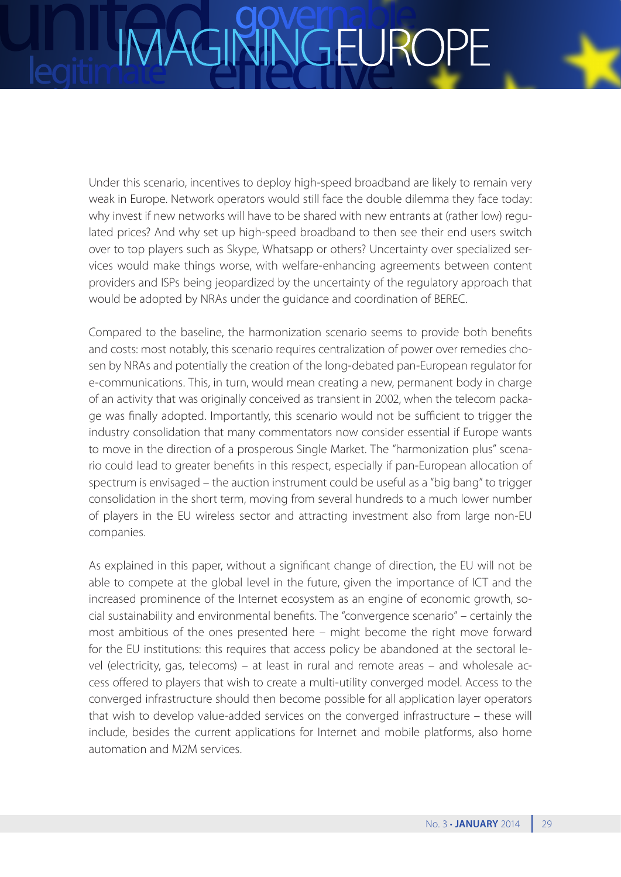### VGEUROI IMAGI

Under this scenario, incentives to deploy high-speed broadband are likely to remain very weak in Europe. Network operators would still face the double dilemma they face today: why invest if new networks will have to be shared with new entrants at (rather low) regulated prices? And why set up high-speed broadband to then see their end users switch over to top players such as Skype, Whatsapp or others? Uncertainty over specialized services would make things worse, with welfare-enhancing agreements between content providers and ISPs being jeopardized by the uncertainty of the regulatory approach that would be adopted by NRAs under the guidance and coordination of BEREC.

Compared to the baseline, the harmonization scenario seems to provide both benefits and costs: most notably, this scenario requires centralization of power over remedies chosen by NRAs and potentially the creation of the long-debated pan-European regulator for e-communications. This, in turn, would mean creating a new, permanent body in charge of an activity that was originally conceived as transient in 2002, when the telecom package was finally adopted. Importantly, this scenario would not be sufficient to trigger the industry consolidation that many commentators now consider essential if Europe wants to move in the direction of a prosperous Single Market. The "harmonization plus" scenario could lead to greater benefits in this respect, especially if pan-European allocation of spectrum is envisaged – the auction instrument could be useful as a "big bang" to trigger consolidation in the short term, moving from several hundreds to a much lower number of players in the EU wireless sector and attracting investment also from large non-EU companies.

As explained in this paper, without a significant change of direction, the EU will not be able to compete at the global level in the future, given the importance of ICT and the increased prominence of the Internet ecosystem as an engine of economic growth, social sustainability and environmental benefits. The "convergence scenario" – certainly the most ambitious of the ones presented here – might become the right move forward for the EU institutions: this requires that access policy be abandoned at the sectoral level (electricity, gas, telecoms) – at least in rural and remote areas – and wholesale access offered to players that wish to create a multi-utility converged model. Access to the converged infrastructure should then become possible for all application layer operators that wish to develop value-added services on the converged infrastructure – these will include, besides the current applications for Internet and mobile platforms, also home automation and M2M services.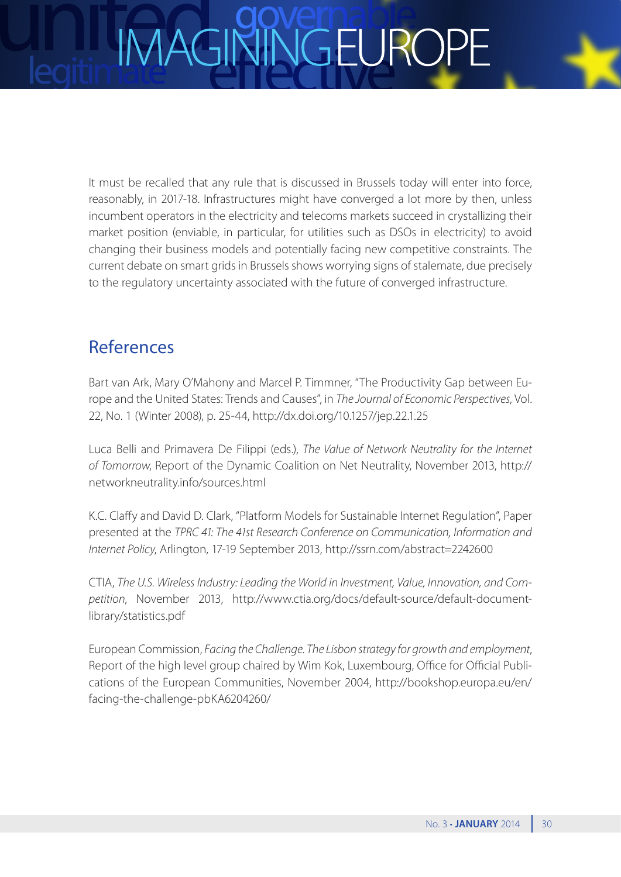## NGEUROF

It must be recalled that any rule that is discussed in Brussels today will enter into force, reasonably, in 2017-18. Infrastructures might have converged a lot more by then, unless incumbent operators in the electricity and telecoms markets succeed in crystallizing their market position (enviable, in particular, for utilities such as DSOs in electricity) to avoid changing their business models and potentially facing new competitive constraints. The current debate on smart grids in Brussels shows worrying signs of stalemate, due precisely to the regulatory uncertainty associated with the future of converged infrastructure.

### References

Bart van Ark, Mary O'Mahony and Marcel P. Timmner, "The Productivity Gap between Europe and the United States: Trends and Causes", in *The Journal of Economic Perspectives*, Vol. 22, No. 1 (Winter 2008), p. 25-44,<http://dx.doi.org/10.1257/jep.22.1.25>

Luca Belli and Primavera De Filippi (eds.), *The Value of Network Neutrality for the Internet of Tomorrow*, Report of the Dynamic Coalition on Net Neutrality, November 2013, [http://](http://networkneutrality.info/sources.html) [networkneutrality.info/sources.html](http://networkneutrality.info/sources.html)

K.C. Claffy and David D. Clark, "Platform Models for Sustainable Internet Regulation", Paper presented at the *TPRC 41: The 41st Research Conference on Communication, Information and Internet Policy*, Arlington, 17-19 September 2013, <http://ssrn.com/abstract=2242600>

CTIA, *The U.S. Wireless Industry: Leading the World in Investment, Value, Innovation, and Competition*, November 2013, [http://www.ctia.org/docs/default-source/default-document](http://www.ctia.org/docs/default-source/default-document-library/statistics.pdf)[library/statistics.pdf](http://www.ctia.org/docs/default-source/default-document-library/statistics.pdf)

European Commission, *Facing the Challenge. The Lisbon strategy for growth and employment*, Report of the high level group chaired by Wim Kok, Luxembourg, Office for Official Publications of the European Communities, November 2004, [http://bookshop.europa.eu/en/](http://bookshop.europa.eu/en/facing-the-challenge-pbKA6204260/) [facing-the-challenge-pbKA6204260/](http://bookshop.europa.eu/en/facing-the-challenge-pbKA6204260/)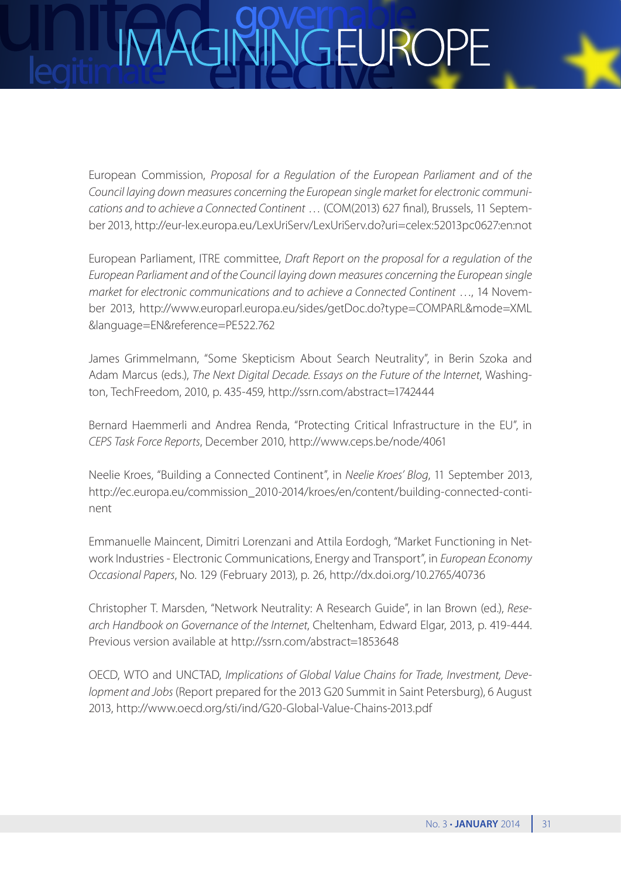## NGEUROI

European Commission, *Proposal for a Regulation of the European Parliament and of the Council laying down measures concerning the European single market for electronic communications and to achieve a Connected Continent* … (COM(2013) 627 final), Brussels, 11 September 2013, http://eur-lex.europa.eu/LexUriServ/LexUriServ.do?uri=celex:52013pc0627:en:not

European Parliament, ITRE committee, *Draft Report on the proposal for a regulation of the European Parliament and of the Council laying down measures concerning the European single market for electronic communications and to achieve a Connected Continent* …, 14 November 2013, [http://www.europarl.europa.eu/sides/getDoc.do?type=COMPARL&mode=XML](http://www.europarl.europa.eu/sides/getDoc.do?type=COMPARL&mode=XML&language=EN&reference=PE522.762) [&language=EN&reference=PE522.762](http://www.europarl.europa.eu/sides/getDoc.do?type=COMPARL&mode=XML&language=EN&reference=PE522.762)

James Grimmelmann, "Some Skepticism About Search Neutrality", in Berin Szoka and Adam Marcus (eds.), *The Next Digital Decade. Essays on the Future of the Internet*, Washington, TechFreedom, 2010, p. 435-459, http://ssrn.com/abstract=1742444

Bernard Haemmerli and Andrea Renda, "Protecting Critical Infrastructure in the EU", in *CEPS Task Force Reports*, December 2010, http://www.ceps.be/node/4061

Neelie Kroes, "Building a Connected Continent", in *Neelie Kroes' Blog*, 11 September 2013, [http://ec.europa.eu/commission\\_2010-2014/kroes/en/content/building-connected-conti](http://ec.europa.eu/commission_2010-2014/kroes/en/content/building-connected-continent)[nent](http://ec.europa.eu/commission_2010-2014/kroes/en/content/building-connected-continent)

Emmanuelle Maincent, Dimitri Lorenzani and Attila Eordogh, "Market Functioning in Network Industries - Electronic Communications, Energy and Transport", in *European Economy Occasional Papers*, No. 129 (February 2013), p. 26, http://dx.doi.org/10.2765/40736

Christopher T. Marsden, "Network Neutrality: A Research Guide", in Ian Brown (ed.), *Research Handbook on Governance of the Internet*, Cheltenham, Edward Elgar, 2013, p. 419-444. Previous version available at http://ssrn.com/abstract=1853648

OECD, WTO and UNCTAD, *Implications of Global Value Chains for Trade, Investment, Development and Jobs* (Report prepared for the 2013 G20 Summit in Saint Petersburg), 6 August 2013, http://www.oecd.org/sti/ind/G20-Global-Value-Chains-2013.pdf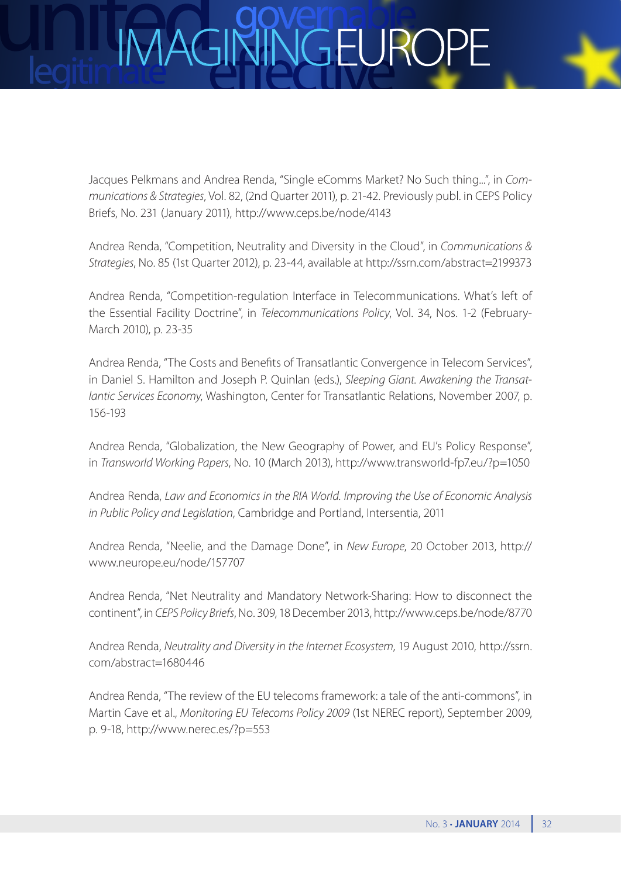Jacques Pelkmans and Andrea Renda, "Single eComms Market? No Such thing...", in *Communications & Strategies*, Vol. 82, (2nd Quarter 2011), p. 21-42. Previously publ. in CEPS Policy Briefs, No. 231 (January 2011), http://www.ceps.be/node/4143

Andrea Renda, "Competition, Neutrality and Diversity in the Cloud", in *Communications & Strategies*, No. 85 (1st Quarter 2012), p. 23-44, available at http://ssrn.com/abstract=2199373

Andrea Renda, "Competition-regulation Interface in Telecommunications. What's left of the Essential Facility Doctrine", in *Telecommunications Policy*, Vol. 34, Nos. 1-2 (February-March 2010), p. 23-35

Andrea Renda, "The Costs and Benefits of Transatlantic Convergence in Telecom Services", in Daniel S. Hamilton and Joseph P. Quinlan (eds.), *Sleeping Giant. Awakening the Transatlantic Services Economy*, Washington, Center for Transatlantic Relations, November 2007, p. 156-193

Andrea Renda, "Globalization, the New Geography of Power, and EU's Policy Response", in *Transworld Working Papers*, No. 10 (March 2013), http://www.transworld-fp7.eu/?p=1050

Andrea Renda, *Law and Economics in the RIA World. Improving the Use of Economic Analysis in Public Policy and Legislation*, Cambridge and Portland, Intersentia, 2011

Andrea Renda, "Neelie, and the Damage Done", in *New Europe*, 20 October 2013, [http://](http://www.neurope.eu/node/157707) [www.neurope.eu/node/157707](http://www.neurope.eu/node/157707)

Andrea Renda, "Net Neutrality and Mandatory Network-Sharing: How to disconnect the continent", in *CEPS Policy Briefs*, No. 309, 18 December 2013, http://www.ceps.be/node/8770

Andrea Renda, *Neutrality and Diversity in the Internet Ecosystem*, 19 August 2010, [http://ssrn.](http://ssrn.com/abstract=1680446) [com/abstract=1680446](http://ssrn.com/abstract=1680446)

Andrea Renda, "The review of the EU telecoms framework: a tale of the anti-commons", in Martin Cave et al., *Monitoring EU Telecoms Policy 2009* (1st NEREC report), September 2009, p. 9-18, http://www.nerec.es/?p=553